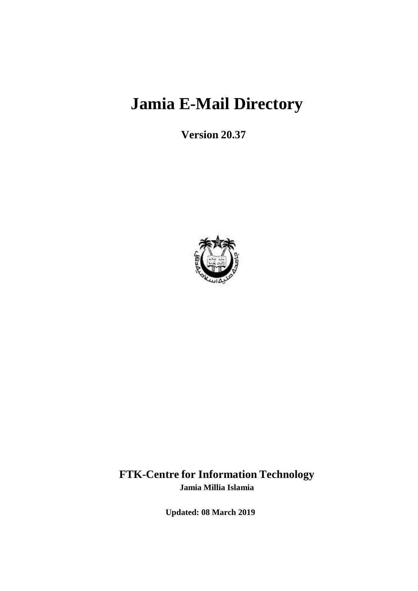# **Jamia E-Mail Directory**

**Version 20.37**



### **FTK-Centre for Information Technology Jamia Millia Islamia**

**Updated: 08 March 2019**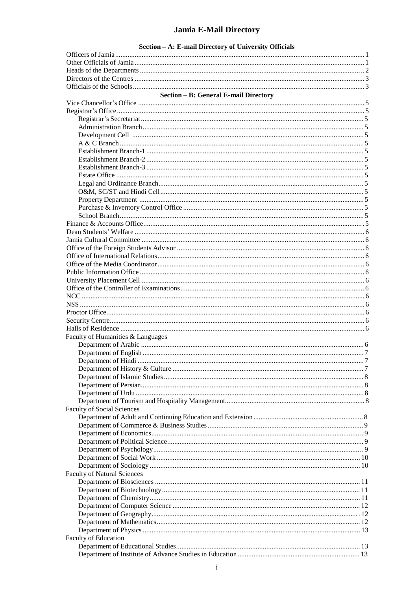### Jamia E-Mail Directory

Section - A: E-mail Directory of University Officials

| Section - B: General E-mail Directory |  |
|---------------------------------------|--|
|                                       |  |
|                                       |  |
|                                       |  |
|                                       |  |
|                                       |  |
|                                       |  |
|                                       |  |
|                                       |  |
|                                       |  |
|                                       |  |
|                                       |  |
|                                       |  |
|                                       |  |
|                                       |  |
|                                       |  |
|                                       |  |
|                                       |  |
|                                       |  |
|                                       |  |
|                                       |  |
|                                       |  |
|                                       |  |
|                                       |  |
|                                       |  |
|                                       |  |
|                                       |  |
|                                       |  |
|                                       |  |
|                                       |  |
| Faculty of Humanities & Languages     |  |
|                                       |  |
|                                       |  |
|                                       |  |
|                                       |  |
|                                       |  |
|                                       |  |
|                                       |  |
|                                       |  |
| <b>Faculty of Social Sciences</b>     |  |
|                                       |  |
|                                       |  |
|                                       |  |
|                                       |  |
|                                       |  |
|                                       |  |
|                                       |  |
| <b>Faculty of Natural Sciences</b>    |  |
|                                       |  |
|                                       |  |
|                                       |  |
|                                       |  |
|                                       |  |
|                                       |  |
|                                       |  |
| Faculty of Education                  |  |
|                                       |  |
|                                       |  |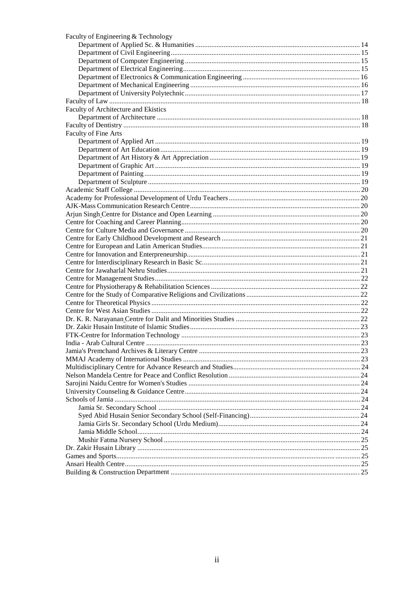| Faculty of Engineering & Technology  |  |
|--------------------------------------|--|
|                                      |  |
|                                      |  |
|                                      |  |
|                                      |  |
|                                      |  |
|                                      |  |
|                                      |  |
|                                      |  |
| Faculty of Architecture and Ekistics |  |
|                                      |  |
|                                      |  |
| Faculty of Fine Arts                 |  |
|                                      |  |
|                                      |  |
|                                      |  |
|                                      |  |
|                                      |  |
|                                      |  |
|                                      |  |
|                                      |  |
|                                      |  |
|                                      |  |
|                                      |  |
|                                      |  |
|                                      |  |
|                                      |  |
|                                      |  |
|                                      |  |
|                                      |  |
|                                      |  |
|                                      |  |
|                                      |  |
|                                      |  |
|                                      |  |
|                                      |  |
|                                      |  |
|                                      |  |
|                                      |  |
|                                      |  |
|                                      |  |
|                                      |  |
|                                      |  |
|                                      |  |
|                                      |  |
|                                      |  |
|                                      |  |
|                                      |  |
|                                      |  |
|                                      |  |
|                                      |  |
|                                      |  |
|                                      |  |
|                                      |  |
|                                      |  |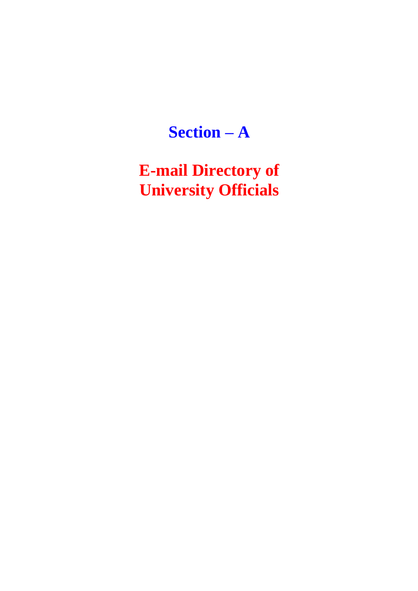# **Section – A**

**E-mail Directory of University Officials**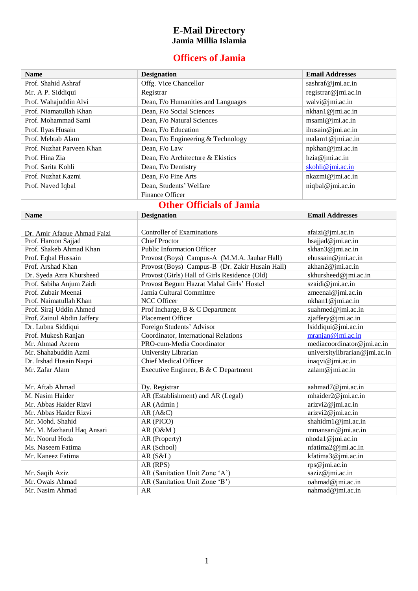#### **E-Mail Directory Jamia Millia Islamia**

### **Officers of Jamia**

| <b>Name</b>               | <b>Designation</b>                 | <b>Email Addresses</b> |
|---------------------------|------------------------------------|------------------------|
| Prof. Shahid Ashraf       | Offg. Vice Chancellor              | sashraf@jmi.ac.in      |
| Mr. A P. Siddiqui         | Registrar                          | registrar@jmi.ac.in    |
| Prof. Wahajuddin Alvi     | Dean, F/o Humanities and Languages | walvi@jmi.ac.in        |
| Prof. Niamatullah Khan    | Dean, F/o Social Sciences          | nkhan1@jmi.ac.in       |
| Prof. Mohammad Sami       | Dean, F/o Natural Sciences         | msami@jmi.ac.in        |
| Prof. Ilyas Husain        | Dean, F/o Education                | ihusain@jmi.ac.in      |
| Prof. Mehtab Alam         | Dean, F/o Engineering & Technology | malam1@jmi.ac.in       |
| Prof. Nuzhat Parveen Khan | Dean, F/o Law                      | npkhan@jmi.ac.in       |
| Prof. Hina Zia            | Dean, F/o Architecture & Ekistics  | hzia@jmi.ac.in         |
| Prof. Sarita Kohli        | Dean, F/o Dentistry                | skohli@jmi.ac.in       |
| Prof. Nuzhat Kazmi        | Dean, F/o Fine Arts                | nkazmi@jmi.ac.in       |
| Prof. Naved Iqbal         | Dean, Students' Welfare            | niqbal@jmi.ac.in       |
|                           | Finance Officer                    |                        |

## **Other Officials of Jamia**

| <b>Name</b>                 | <b>Designation</b>                              | <b>Email Addresses</b>        |
|-----------------------------|-------------------------------------------------|-------------------------------|
|                             |                                                 |                               |
| Dr. Amir Afaque Ahmad Faizi | <b>Controller of Examinations</b>               | afaizi@jmi.ac.in              |
| Prof. Haroon Sajjad         | <b>Chief Proctor</b>                            | hsajjad@jmi.ac.in             |
| Prof. Shakeb Ahmad Khan     | <b>Public Information Officer</b>               | skhan3@jmi.ac.in              |
| Prof. Eqbal Hussain         | Provost (Boys) Campus-A (M.M.A. Jauhar Hall)    | ehussain@jmi.ac.in            |
| Prof. Arshad Khan           | Provost (Boys) Campus-B (Dr. Zakir Husain Hall) | akhan2@jmi.ac.in              |
| Dr. Syeda Azra Khursheed    | Provost (Girls) Hall of Girls Residence (Old)   | skhursheed@jmi.ac.in          |
| Prof. Sabiha Anjum Zaidi    | Provost Begum Hazrat Mahal Girls' Hostel        | szaidi@jmi.ac.in              |
| Prof. Zubair Meenai         | Jamia Cultural Committee                        | zmeenai@jmi.ac.in             |
| Prof. Naimatullah Khan      | <b>NCC Officer</b>                              | nkhan1@jmi.ac.in              |
| Prof. Siraj Uddin Ahmed     | Prof Incharge, B & C Department                 | suahmed@jmi.ac.in             |
| Prof. Zainul Abdin Jaffery  | <b>Placement Officer</b>                        | zjaffery@jmi.ac.in            |
| Dr. Lubna Siddiqui          | Foreign Students' Advisor                       | lsiddiqui@jmi.ac.in           |
| Prof. Mukesh Ranjan         | Coordinator, International Relations            | mranjan@jmi.ac.in             |
| Mr. Ahmad Azeem             | PRO-cum-Media Coordinator                       | mediacoordinator@jmi.ac.in    |
| Mr. Shahabuddin Azmi        | University Librarian                            | universitylibrarian@jmi.ac.in |
| Dr. Irshad Husain Naqvi     | <b>Chief Medical Officer</b>                    | inaqvi@jmi.ac.in              |
| Mr. Zafar Alam              | Executive Engineer, B & C Department            | zalam@jmi.ac.in               |
|                             |                                                 |                               |
| Mr. Aftab Ahmad             | Dy. Registrar                                   | aahmad7@jmi.ac.in             |
| M. Nasim Haider             | AR (Establishment) and AR (Legal)               | mhaider2@jmi.ac.in            |
| Mr. Abbas Haider Rizvi      | AR (Admin)                                      | arizvi2@jmi.ac.in             |
| Mr. Abbas Haider Rizvi      | AR(A&C)                                         | arizvi2@jmi.ac.in             |
| Mr. Mohd. Shahid            | AR (PICO)                                       | shahidm1@jmi.ac.in            |
| Mr. M. Mazharul Haq Ansari  | AR(0&M)                                         | mmansari@jmi.ac.in            |
| Mr. Noorul Hoda             | AR (Property)                                   | nhoda1@jmi.ac.in              |
| Ms. Naseem Fatima           | AR (School)                                     | nfatima2@jmi.ac.in            |
| Mr. Kaneez Fatima           | AR (S&L)                                        | kfatima3@jmi.ac.in            |
|                             | AR (RPS)                                        | rps@jmi.ac.in                 |
| Mr. Saqib Aziz              | AR (Sanitation Unit Zone 'A')                   | saziz@jmi.ac.in               |
| Mr. Owais Ahmad             | AR (Sanitation Unit Zone 'B')                   | oahmad@jmi.ac.in              |
| Mr. Nasim Ahmad             | <b>AR</b>                                       | nahmad@jmi.ac.in              |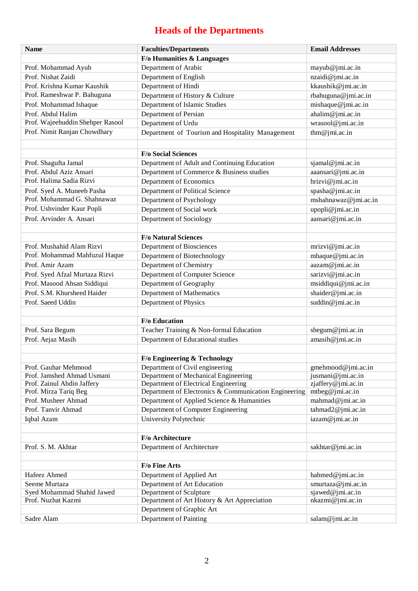# **Heads of the Departments**

| <b>Name</b>                      | <b>Faculties/Departments</b>                          | <b>Email Addresses</b> |
|----------------------------------|-------------------------------------------------------|------------------------|
|                                  | F/o Humanities & Languages                            |                        |
| Prof. Mohammad Ayub              | Department of Arabic                                  | mayub@jmi.ac.in        |
| Prof. Nishat Zaidi               | Department of English                                 | nzaidi@jmi.ac.in       |
| Prof. Krishna Kumar Kaushik      | Department of Hindi                                   | kkaushik@jmi.ac.in     |
| Prof. Rameshwar P. Bahuguna      | Department of History & Culture                       | rbahuguna@jmi.ac.in    |
| Prof. Mohammad Ishaque           | Department of Islamic Studies                         | mishaque@jmi.ac.in     |
| Prof. Abdul Halim                | Department of Persian                                 | ahalim@jmi.ac.in       |
| Prof. Wajeehuddin Shehper Rasool | Department of Urdu                                    | wrasool@jmi.ac.in      |
| Prof. Nimit Ranjan Chowdhary     | Department of Tourism and Hospitality Management      | thm@jmi.ac.in          |
|                                  | <b>F/o Social Sciences</b>                            |                        |
| Prof. Shagufta Jamal             | Department of Adult and Continuing Education          | sjamal@jmi.ac.in       |
| Prof. Abdul Aziz Ansari          | Department of Commerce & Business studies             | aaansari@jmi.ac.in     |
| Prof. Halima Sadia Rizvi         | Department of Economics                               | hrizvi@jmi.ac.in       |
| Prof. Syed A. Muneeb Pasha       | Department of Political Science                       | spasha@jmi.ac.in       |
| Prof. Mohammad G. Shahnawaz      | Department of Psychology                              | mshahnawaz@jmi.ac.in   |
| Prof. Ushvinder Kaur Popli       | Department of Social work                             | upopli@jmi.ac.in       |
| Prof. Arvinder A. Ansari         | Department of Sociology                               | aansari@jmi.ac.in      |
|                                  | <b>F/o Natural Sciences</b>                           |                        |
| Prof. Mushahid Alam Rizvi        | Department of Biosciences                             | mrizvi@jmi.ac.in       |
| Prof. Mohammad Mahfuzul Haque    | Department of Biotechnology                           | mhaque@jmi.ac.in       |
| Prof. Amir Azam                  | Department of Chemistry                               | aazam@jmi.ac.in        |
| Prof. Syed Afzal Murtaza Rizvi   | Department of Computer Science                        | sarizvi@jmi.ac.in      |
| Prof. Masood Ahsan Siddiqui      | Department of Geography                               | msiddiqui@jmi.ac.in    |
| Prof. S.M. Khursheed Haider      | Department of Mathematics                             | shaider@jmi.ac.in      |
| Prof. Saeed Uddin                | Department of Physics                                 | suddin@jmi.ac.in       |
|                                  | <b>F/o Education</b>                                  |                        |
| Prof. Sara Begum                 | Teacher Training & Non-formal Education               | sbegum@jmi.ac.in       |
| Prof. Aejaz Masih                | Department of Educational studies                     | amasih@jmi.ac.in       |
|                                  |                                                       |                        |
|                                  | F/o Engineering & Technology                          |                        |
| Prof. Gauhar Mehmood             | Department of Civil engineering                       | gmehmood@jmi.ac.in     |
| Prof. Jamshed Ahmad Usmani       | Department of Mechanical Engineering                  | jusmani@jmi.ac.in      |
| Prof. Zainul Abdin Jaffery       | Department of Electrical Engineering                  | zjaffery@jmi.ac.in     |
| Prof. Mirza Tariq Beg            | Department of Electronics & Communication Engineering | mtbeg@jmi.ac.in        |
| Prof. Musheer Ahmad              | Department of Applied Science & Humanities            | mahmad@jmi.ac.in       |
| Prof. Tanvir Ahmad               | Department of Computer Engineering                    | tahmad2@jmi.ac.in      |
| Iqbal Azam                       | University Polytechnic                                | iazam@jmi.ac.in        |
|                                  | F/o Architecture                                      |                        |
| Prof. S. M. Akhtar               | Department of Architecture                            | sakhtar@jmi.ac.in      |
|                                  | F/o Fine Arts                                         |                        |
| Hafeez Ahmed                     | Department of Applied Art                             | hahmed@jmi.ac.in       |
| Seeme Murtaza                    | Department of Art Education                           | smurtaza@jmi.ac.in     |
| Syed Mohammad Shahid Jawed       | Department of Sculpture                               | sjawed@jmi.ac.in       |
| Prof. Nuzhat Kazmi               | Department of Art History & Art Appreciation          | nkazmi@jmi.ac.in       |
|                                  | Department of Graphic Art                             |                        |
| Sadre Alam                       | Department of Painting                                | salam@jmi.ac.in        |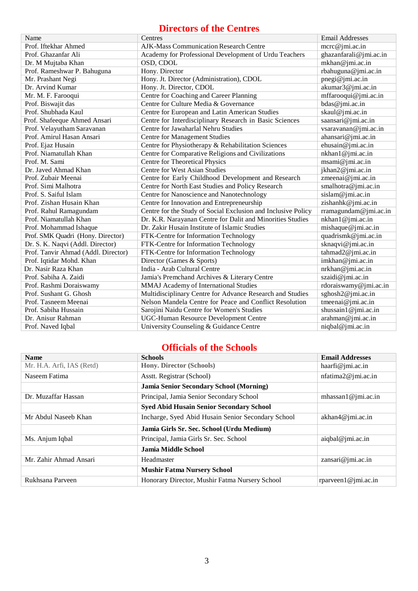### **Directors of the Centres**

| Name                                | Centres                                                       | <b>Email Addresses</b> |
|-------------------------------------|---------------------------------------------------------------|------------------------|
| Prof. Iftekhar Ahmed                | AJK-Mass Communication Research Centre                        | mcrc@jmi.ac.in         |
| Prof. Ghazanfar Ali                 | Academy for Professional Development of Urdu Teachers         | ghazanfarali@jmi.ac.in |
| Dr. M Mujtaba Khan                  | OSD, CDOL                                                     | mkhan@jmi.ac.in        |
| Prof. Rameshwar P. Bahuguna         | Hony. Director                                                | rbahuguna@jmi.ac.in    |
| Mr. Prashant Negi                   | Hony. Jt. Director (Administration), CDOL                     | pnegi@jmi.ac.in        |
| Dr. Arvind Kumar                    | Hony. Jt. Director, CDOL                                      | akumar3@jmi.ac.in      |
| Mr. M. F. Farooqui                  | Centre for Coaching and Career Planning                       | mffarooqui@jmi.ac.in   |
| Prof. Biswajit das                  | Centre for Culture Media & Governance                         | bdas@jmi.ac.in         |
| Prof. Shubhada Kaul                 | Centre for European and Latin American Studies                | skaul@jmi.ac.in        |
| Prof. Shafeeque Ahmed Ansari        | Centre for Interdisciplinary Research in Basic Sciences       | saansari@jmi.ac.in     |
| Prof. Velayutham Saravanan          | Centre for Jawaharlal Nehru Studies                           | vsaravanan@jmi.ac.in   |
| Prof. Amirul Hasan Ansari           | <b>Centre for Management Studies</b>                          | ahansari@jmi.ac.in     |
| Prof. Ejaz Husain                   | Centre for Physiotherapy & Rehabilitation Sciences            | ehusain@jmi.ac.in      |
| Prof. Niamatullah Khan              | Centre for Comparative Religions and Civilizations            | nkhan1@jmi.ac.in       |
| Prof. M. Sami                       | Centre for Theoretical Physics                                | msami@jmi.ac.in        |
| Dr. Javed Ahmad Khan                | <b>Centre for West Asian Studies</b>                          | jkhan2@jmi.ac.in       |
| Prof. Zubair Meenai                 | Centre for Early Childhood Development and Research           | zmeenai@jmi.ac.in      |
| Prof. Simi Malhotra                 | Centre for North East Studies and Policy Research             | smalhotra@jmi.ac.in    |
| Prof. S. Saiful Islam               | Centre for Nanoscience and Nanotechnology                     | sislam@jmi.ac.in       |
| Prof. Zishan Husain Khan            | Centre for Innovation and Entrepreneurship                    | zishanhk@jmi.ac.in     |
| Prof. Rahul Ramagundam              | Centre for the Study of Social Exclusion and Inclusive Policy | rramagundam@jmi.ac.in  |
| Prof. Niamatullah Khan              | Dr. K.R. Narayanan Centre for Dalit and Minorities Studies    | nkhan1@jmi.ac.in       |
| Prof. Mohammad Ishaque              | Dr. Zakir Husain Institute of Islamic Studies                 | mishaque@jmi.ac.in     |
| Prof. SMK Quadri (Hony. Director)   | FTK-Centre for Information Technology                         | quadrismk@jmi.ac.in    |
| Dr. S. K. Naqvi (Addl. Director)    | FTK-Centre for Information Technology                         | sknaqvi@jmi.ac.in      |
| Prof. Tanvir Ahmad (Addl. Director) | FTK-Centre for Information Technology                         | tahmad2@jmi.ac.in      |
| Prof. Iqtidar Mohd. Khan            | Director (Games & Sports)                                     | imkhan@jmi.ac.in       |
| Dr. Nasir Raza Khan                 | India - Arab Cultural Centre                                  | nrkhan@jmi.ac.in       |
| Prof. Sabiha A. Zaidi               | Jamia's Premchand Archives & Literary Centre                  | szaidi@jmi.ac.in       |
| Prof. Rashmi Doraiswamy             | MMAJ Academy of International Studies                         | rdoraiswamy@jmi.ac.in  |
| Prof. Sushant G. Ghosh              | Multidisciplinary Centre for Advance Research and Studies     | sghosh2@jmi.ac.in      |
| Prof. Tasneem Meenai                | Nelson Mandela Centre for Peace and Conflict Resolution       | tmeenai@jmi.ac.in      |
| Prof. Sabiha Hussain                | Sarojini Naidu Centre for Women's Studies                     | shussain1@jmi.ac.in    |
| Dr. Anisur Rahman                   | UGC-Human Resource Development Centre                         | arahman@jmi.ac.in      |
| Prof. Naved Iqbal                   | University Counseling & Guidance Centre                       | niqbal@jmi.ac.in       |

### **Officials of the Schools**

| <b>Name</b>               | <b>Schools</b>                                     | <b>Email Addresses</b> |
|---------------------------|----------------------------------------------------|------------------------|
| Mr. H.A. Arfi, IAS (Retd) | <b>Hony. Director (Schools)</b>                    | haarfi $@$ imi.ac.in   |
| Naseem Fatima             | Asstt. Registrar (School)                          | nfatima2@jmi.ac.in     |
|                           | <b>Jamia Senior Secondary School (Morning)</b>     |                        |
| Dr. Muzaffar Hassan       | Principal, Jamia Senior Secondary School           | mhassan1@jmi.ac.in     |
|                           | <b>Syed Abid Husain Senior Secondary School</b>    |                        |
| Mr Abdul Naseeb Khan      | Incharge, Syed Abid Husain Senior Secondary School | akhan4@jmi.ac.in       |
|                           | Jamia Girls Sr. Sec. School (Urdu Medium)          |                        |
| Ms. Anjum Iqbal           | Principal, Jamia Girls Sr. Sec. School             | aiqbal@jmi.ac.in       |
|                           | <b>Jamia Middle School</b>                         |                        |
| Mr. Zahir Ahmad Ansari    | Headmaster                                         | zansari@jmi.ac.in      |
|                           | <b>Mushir Fatma Nursery School</b>                 |                        |
| Rukhsana Parveen          | Honorary Director, Mushir Fatma Nursery School     | rparveen1@jmi.ac.in    |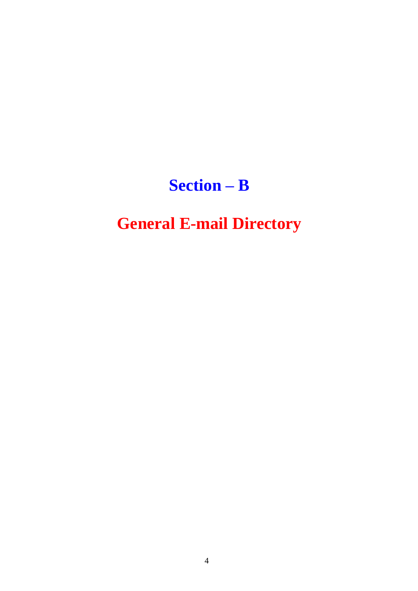# **Section – B**

# **General E-mail Directory**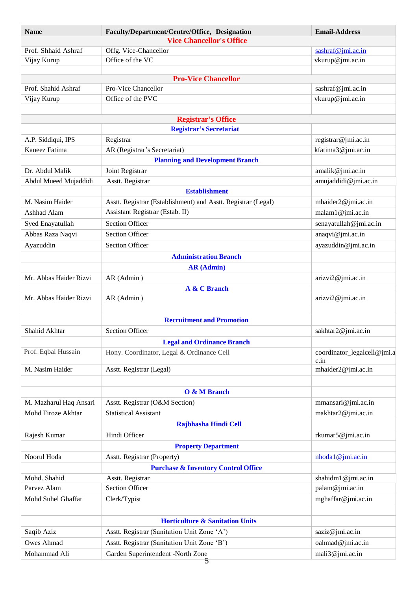| Name                   | Faculty/Department/Centre/Office, Designation                 | <b>Email-Address</b>                  |
|------------------------|---------------------------------------------------------------|---------------------------------------|
|                        | <b>Vice Chancellor's Office</b>                               |                                       |
| Prof. Shhaid Ashraf    | Offg. Vice-Chancellor                                         | sashraf@jmi.ac.in                     |
| Vijay Kurup            | Office of the VC                                              | vkurup@jmi.ac.in                      |
|                        |                                                               |                                       |
| Prof. Shahid Ashraf    | <b>Pro-Vice Chancellor</b><br>Pro-Vice Chancellor             |                                       |
|                        | Office of the PVC                                             | sashraf@jmi.ac.in<br>vkurup@jmi.ac.in |
| Vijay Kurup            |                                                               |                                       |
|                        | <b>Registrar's Office</b><br><b>Registrar's Secretariat</b>   |                                       |
| A.P. Siddiqui, IPS     | Registrar                                                     | registrar@jmi.ac.in                   |
| Kaneez Fatima          | AR (Registrar's Secretariat)                                  | kfatima3@jmi.ac.in                    |
|                        | <b>Planning and Development Branch</b>                        |                                       |
| Dr. Abdul Malik        | Joint Registrar                                               | amalik@jmi.ac.in                      |
| Abdul Mueed Mujaddidi  | Asstt. Registrar                                              | amujaddidi@jmi.ac.in                  |
|                        | <b>Establishment</b>                                          |                                       |
| M. Nasim Haider        | Asstt. Registrar (Establishment) and Asstt. Registrar (Legal) | mhaider2@jmi.ac.in                    |
| Ashhad Alam            | Assistant Registrar (Estab. II)                               | malam1@jmi.ac.in                      |
| Syed Enayatullah       | <b>Section Officer</b>                                        | senayatullah@jmi.ac.in                |
| Abbas Raza Naqvi       | <b>Section Officer</b>                                        | anaqvi@jmi.ac.in                      |
| Ayazuddin              | <b>Section Officer</b>                                        | ayazuddin@jmi.ac.in                   |
|                        |                                                               |                                       |
|                        | <b>Administration Branch</b>                                  |                                       |
|                        | <b>AR</b> (Admin)                                             |                                       |
| Mr. Abbas Haider Rizvi | AR (Admin)                                                    | arizvi2@jmi.ac.in                     |
| Mr. Abbas Haider Rizvi | A & C Branch<br>AR (Admin)                                    | arizvi2@jmi.ac.in                     |
|                        |                                                               |                                       |
|                        | <b>Recruitment and Promotion</b>                              |                                       |
| Shahid Akhtar          | <b>Section Officer</b>                                        | sakhtar2@jmi.ac.in                    |
|                        | <b>Legal and Ordinance Branch</b>                             |                                       |
| Prof. Eqbal Hussain    | Hony. Coordinator, Legal & Ordinance Cell                     | coordinator_legalcell@jmi.a           |
|                        |                                                               | c.in                                  |
| M. Nasim Haider        | Asstt. Registrar (Legal)                                      | mhaider2@jmi.ac.in                    |
|                        |                                                               |                                       |
|                        | O & M Branch                                                  |                                       |
| M. Mazharul Haq Ansari | Asstt. Registrar (O&M Section)                                | mmansari@jmi.ac.in                    |
| Mohd Firoze Akhtar     | <b>Statistical Assistant</b>                                  | makhtar2@jmi.ac.in                    |
|                        | Rajbhasha Hindi Cell                                          |                                       |
| Rajesh Kumar           | Hindi Officer                                                 | rkumar5@jmi.ac.in                     |
|                        | <b>Property Department</b>                                    |                                       |
| Noorul Hoda            | Asstt. Registrar (Property)                                   | $n$ hoda1@jmi.ac.in                   |
|                        | <b>Purchase &amp; Inventory Control Office</b>                |                                       |
| Mohd. Shahid           | Asstt. Registrar                                              | shahidm1@jmi.ac.in                    |
| Parvez Alam            | <b>Section Officer</b>                                        | palam@jmi.ac.in                       |
| Mohd Suhel Ghaffar     | Clerk/Typist                                                  | mghaffar@jmi.ac.in                    |
|                        |                                                               |                                       |
|                        | <b>Horticulture &amp; Sanitation Units</b>                    |                                       |
| Saqib Aziz             | Asstt. Registrar (Sanitation Unit Zone 'A')                   | saziz@jmi.ac.in                       |
| Owes Ahmad             | Asstt. Registrar (Sanitation Unit Zone 'B')                   | oahmad@jmi.ac.in                      |
| Mohammad Ali           | Garden Superintendent -North Zone                             | mali3@jmi.ac.in                       |
|                        |                                                               |                                       |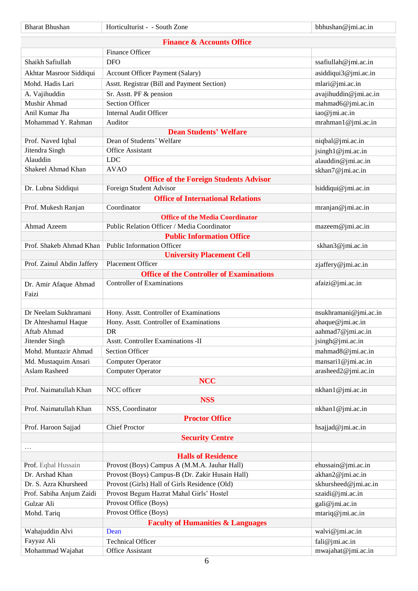| <b>Bharat Bhushan</b>          | Horticulturist - - South Zone                                            | bbhushan@jmi.ac.in    |
|--------------------------------|--------------------------------------------------------------------------|-----------------------|
|                                | <b>Finance &amp; Accounts Office</b>                                     |                       |
|                                | <b>Finance Officer</b>                                                   |                       |
| Shaikh Safiullah               | <b>DFO</b>                                                               | ssafiullah@jmi.ac.in  |
|                                | <b>Account Officer Payment (Salary)</b>                                  | asiddiqui3@jmi.ac.in  |
| Akhtar Masroor Siddiqui        |                                                                          |                       |
| Mohd. Hadis Lari               | Asstt. Registrar (Bill and Payment Section)                              | mlari@jmi.ac.in       |
| A. Vajihuddin                  | Sr. Asstt. PF & pension                                                  | avajihuddin@jmi.ac.in |
| Mushir Ahmad                   | <b>Section Officer</b>                                                   | mahmad6@jmi.ac.in     |
| Anil Kumar Jha                 | <b>Internal Audit Officer</b>                                            | iao@jmi.ac.in         |
| Mohammad Y. Rahman             | Auditor                                                                  | mrahman1@jmi.ac.in    |
|                                | <b>Dean Students' Welfare</b><br>Dean of Students' Welfare               |                       |
| Prof. Naved Iqbal              |                                                                          | niqbal@jmi.ac.in      |
| Jitendra Singh                 | Office Assistant                                                         | jsingh1@jmi.ac.in     |
| Alauddin<br>Shakeel Ahmad Khan | <b>LDC</b>                                                               | alauddin@jmi.ac.in    |
|                                | <b>AVAO</b>                                                              | skhan7@jmi.ac.in      |
| Dr. Lubna Siddiqui             | <b>Office of the Foreign Students Advisor</b><br>Foreign Student Advisor | lsiddiqui@jmi.ac.in   |
|                                | <b>Office of International Relations</b>                                 |                       |
|                                | Coordinator                                                              | mranjan@jmi.ac.in     |
| Prof. Mukesh Ranjan            | <b>Office of the Media Coordinator</b>                                   |                       |
| Ahmad Azeem                    | Public Relation Officer / Media Coordinator                              | mazeem@jmi.ac.in      |
|                                | <b>Public Information Office</b>                                         |                       |
|                                | <b>Public Information Officer</b>                                        |                       |
| Prof. Shakeb Ahmad Khan        | <b>University Placement Cell</b>                                         | skhan3@jmi.ac.in      |
| Prof. Zainul Abdin Jaffery     | Placement Officer                                                        | zjaffery@jmi.ac.in    |
|                                | <b>Office of the Controller of Examinations</b>                          |                       |
|                                | <b>Controller of Examinations</b>                                        | afaizi@jmi.ac.in      |
| Dr. Amir Afaque Ahmad          |                                                                          |                       |
| Faizi                          |                                                                          |                       |
| Dr Neelam Sukhramani           | Hony. Asstt. Controller of Examinations                                  | nsukhramani@jmi.ac.in |
| Dr Ahteshamul Haque            | Hony. Asstt. Controller of Examinations                                  | ahaque@jmi.ac.in      |
| Aftab Ahmad                    | DR                                                                       | aahmad7@jmi.ac.in     |
| Jitender Singh                 | Asstt. Controller Examinations -II                                       | jsingh@jmi.ac.in      |
| Mohd. Muntazir Ahmad           | <b>Section Officer</b>                                                   | mahmad8@jmi.ac.in     |
| Md. Mustaquim Ansari           | Computer Operator                                                        | mansari1@jmi.ac.in    |
| Aslam Rasheed                  | <b>Computer Operator</b>                                                 | arasheed2@jmi.ac.in   |
|                                | <b>NCC</b>                                                               |                       |
| Prof. Naimatullah Khan         | NCC officer                                                              | nkhan1@jmi.ac.in      |
|                                | <b>NSS</b>                                                               |                       |
| Prof. Naimatullah Khan         | NSS, Coordinator                                                         | nkhan1@jmi.ac.in      |
|                                | <b>Proctor Office</b>                                                    |                       |
| Prof. Haroon Sajjad            | <b>Chief Proctor</b>                                                     | hsajjad@jmi.ac.in     |
|                                | <b>Security Centre</b>                                                   |                       |
| $\ldots$                       |                                                                          |                       |
|                                | <b>Halls of Residence</b>                                                |                       |
| Prof. Eqbal Hussain            | Provost (Boys) Campus A (M.M.A. Jauhar Hall)                             | ehussain@jmi.ac.in    |
| Dr. Arshad Khan                | Provost (Boys) Campus-B (Dr. Zakir Husain Hall)                          | akhan2@jmi.ac.in      |
| Dr. S. Azra Khursheed          | Provost (Girls) Hall of Girls Residence (Old)                            | skhursheed@jmi.ac.in  |
| Prof. Sabiha Anjum Zaidi       | Provost Begum Hazrat Mahal Girls' Hostel                                 | szaidi@jmi.ac.in      |
| Gulzar Ali                     | Provost Office (Boys)                                                    | gali@jmi.ac.in        |
| Mohd. Tariq                    | Provost Office (Boys)                                                    | mtariq@jmi.ac.in      |
|                                | <b>Faculty of Humanities &amp; Languages</b>                             |                       |
| Wahajuddin Alvi                | Dean                                                                     | walvi@jmi.ac.in       |
| Fayyaz Ali                     | <b>Technical Officer</b>                                                 | fali@jmi.ac.in        |
| Mohammad Wajahat               | Office Assistant                                                         | mwajahat@jmi.ac.in    |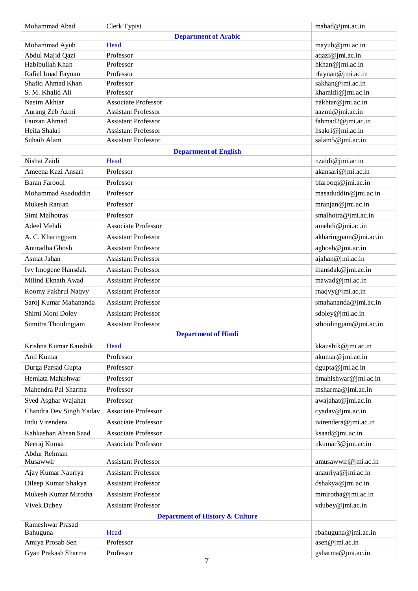| Mohammad Abad                | Clerk Typist                                             | mabad@jmi.ac.in                       |
|------------------------------|----------------------------------------------------------|---------------------------------------|
|                              | <b>Department of Arabic</b>                              |                                       |
| Mohammad Ayub                | Head                                                     | mayub@jmi.ac.in                       |
| Abdul Majid Qazi             | Professor                                                | aqazi@jmi.ac.in                       |
| Habibullah Khan              | Professor                                                | hkhan@jmi.ac.in                       |
| Rafiel Imad Faynan           | Professor                                                | rfaynan@jmi.ac.in                     |
| Shafiq Ahmad Khan            | Professor                                                | sakhan@jmi.ac.in                      |
| S. M. Khalid Ali             | Professor                                                | khamidi@jmi.ac.in                     |
| Nasim Akhtar                 | <b>Associate Professor</b>                               | nakhtar@jmi.ac.in                     |
| Aurang Zeb Azmi              | <b>Assistant Professor</b>                               | aazmi@jmi.ac.in                       |
| Fauzan Ahmad<br>Heifa Shakri | <b>Assistant Professor</b><br><b>Assistant Professor</b> | fahmad2@jmi.ac.in<br>hsakri@jmi.ac.in |
| Suhaib Alam                  | <b>Assistant Professor</b>                               | salam5@jmi.ac.in                      |
|                              |                                                          |                                       |
| Nishat Zaidi                 | <b>Department of English</b><br>Head                     | nzaidi@jmi.ac.in                      |
| Ameena Kazi Ansari           | Professor                                                | akansari@jmi.ac.in                    |
| Baran Farooqi                | Professor                                                | bfarooqi@jmi.ac.in                    |
|                              |                                                          |                                       |
| Mohammad Asaduddin           | Professor                                                | masaduddin@jmi.ac.in                  |
| Mukesh Ranjan                | Professor                                                | mranjan@jmi.ac.in                     |
| Simi Malhotras               | Professor                                                | smalhotra@jmi.ac.in                   |
| Adeel Mehdi                  | <b>Associate Professor</b>                               | amehdi@jmi.ac.in                      |
| A. C. Kharingpam             | <b>Assistant Professor</b>                               | akharingpam@jmi.ac.in                 |
| Anuradha Ghosh               | <b>Assistant Professor</b>                               | aghosh@jmi.ac.in                      |
| Asmat Jahan                  | <b>Assistant Professor</b>                               | ajahan@jmi.ac.in                      |
| Ivy Imogene Hansdak          | <b>Assistant Professor</b>                               | ihansdak@jmi.ac.in                    |
| Milind Eknath Awad           | <b>Assistant Professor</b>                               | mawad@jmi.ac.in                       |
| Roomy Fakhrul Naqvy          | <b>Assistant Professor</b>                               | rnaqvy@jmi.ac.in                      |
| Saroj Kumar Mahananda        | <b>Assistant Professor</b>                               | smahananda@jmi.ac.in                  |
| Shimi Moni Doley             | <b>Assistant Professor</b>                               | sdoley@jmi.ac.in                      |
| Sumitra Thoidingjam          | <b>Assistant Professor</b>                               | sthoidingjam@jmi.ac.in                |
|                              | <b>Department of Hindi</b>                               |                                       |
| Krishna Kumar Kaushik        | Head                                                     | kkaushik@jmi.ac.in                    |
| Anil Kumar                   | Professor                                                | akumar@jmi.ac.in                      |
|                              |                                                          |                                       |
| Durga Parsad Gupta           | Professor                                                | dgupta@jmi.ac.in                      |
| Hemlata Mahishwar            | Professor                                                | hmahishwar@jmi.ac.in                  |
| Mahendra Pal Sharma          | Professor                                                | msharma@jmi.ac.in                     |
| Syed Asghar Wajahat          | Professor                                                | awajahat@jmi.ac.in                    |
| Chandra Dev Singh Yadav      | Associate Professor                                      | cyadav@jmi.ac.in                      |
| Indu Virendera               | <b>Associate Professor</b>                               | ivirendera@jmi.ac.in                  |
| Kahkashan Ahsan Saad         | <b>Associate Professor</b>                               | ksaad@jmi.ac.in                       |
| Neeraj Kumar                 | <b>Associate Professor</b>                               | nkumar3@jmi.ac.in                     |
| Abdur Rehman                 |                                                          |                                       |
| Musawwir                     | <b>Assistant Professor</b>                               | amusawwir@jmi.ac.in                   |
| Ajay Kumar Nauriya           | <b>Assistant Professor</b>                               | anauriya@jmi.ac.in                    |
| Dileep Kumar Shakya          | <b>Assistant Professor</b>                               | dshakya@jmi.ac.in                     |
| Mukesh Kumar Mirotha         | <b>Assistant Professor</b>                               | mmirotha@jmi.ac.in                    |
| Vivek Dubey                  | <b>Assistant Professor</b>                               | vdubey@jmi.ac.in                      |
|                              | <b>Department of History &amp; Culture</b>               |                                       |
| Rameshwar Prasad             |                                                          |                                       |
| Bahuguna                     | Head                                                     | rbahuguna@jmi.ac.in                   |
| Amiya Prosab Sen             | Professor                                                | asen@jmi.ac.in                        |
| Gyan Prakash Sharma          | Professor                                                | gsharma@jmi.ac.in                     |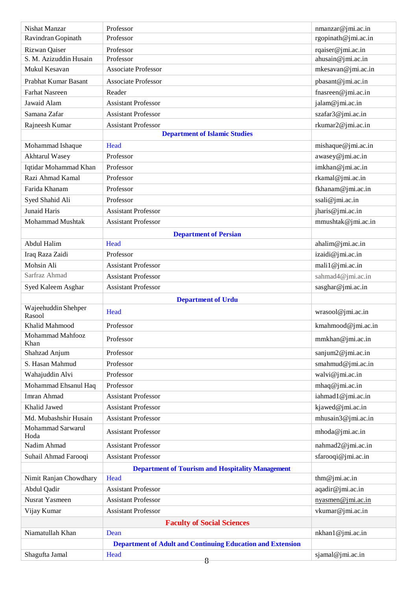| Nishat Manzar                 | Professor                                                         | nmanzar@jmi.ac.in   |
|-------------------------------|-------------------------------------------------------------------|---------------------|
| Ravindran Gopinath            | Professor                                                         | rgopinath@jmi.ac.in |
| Rizwan Qaiser                 | Professor                                                         | rqaiser@jmi.ac.in   |
| S. M. Azizuddin Husain        | Professor                                                         | ahusain@jmi.ac.in   |
| Mukul Kesavan                 | <b>Associate Professor</b>                                        | mkesavan@jmi.ac.in  |
| Prabhat Kumar Basant          | <b>Associate Professor</b>                                        | pbasant@jmi.ac.in   |
| <b>Farhat Nasreen</b>         | Reader                                                            | fnasreen@jmi.ac.in  |
| Jawaid Alam                   | <b>Assistant Professor</b>                                        | jalam@jmi.ac.in     |
| Samana Zafar                  | <b>Assistant Professor</b>                                        | szafar3@jmi.ac.in   |
| Rajneesh Kumar                | <b>Assistant Professor</b>                                        | rkumar2@jmi.ac.in   |
|                               | <b>Department of Islamic Studies</b>                              |                     |
| Mohammad Ishaque              | Head                                                              | mishaque@jmi.ac.in  |
| <b>Akhtarul Wasey</b>         | Professor                                                         | awasey@jmi.ac.in    |
| Iqtidar Mohammad Khan         | Professor                                                         | imkhan@jmi.ac.in    |
| Razi Ahmad Kamal              | Professor                                                         | rkamal@jmi.ac.in    |
| Farida Khanam                 | Professor                                                         | fkhanam@jmi.ac.in   |
| Syed Shahid Ali               | Professor                                                         | ssali@jmi.ac.in     |
| <b>Junaid Haris</b>           | <b>Assistant Professor</b>                                        | jharis@jmi.ac.in    |
| <b>Mohammad Mushtak</b>       | <b>Assistant Professor</b>                                        | mmushtak@jmi.ac.in  |
|                               | <b>Department of Persian</b>                                      |                     |
| Abdul Halim                   | Head                                                              | ahalim@jmi.ac.in    |
| Iraq Raza Zaidi               | Professor                                                         | izaidi@jmi.ac.in    |
| Mohsin Ali                    | <b>Assistant Professor</b>                                        | mali1@jmi.ac.in     |
| Sarfraz Ahmad                 | <b>Assistant Professor</b>                                        | sahmad4@jmi.ac.in   |
| Syed Kaleem Asghar            | <b>Assistant Professor</b>                                        | sasghar@jmi.ac.in   |
|                               | <b>Department of Urdu</b>                                         |                     |
| Wajeehuddin Shehper<br>Rasool | Head                                                              | wrasool@jmi.ac.in   |
| Khalid Mahmood                | Professor                                                         | kmahmood@jmi.ac.in  |
| Mohammad Mahfooz<br>Khan      | Professor                                                         | mmkhan@jmi.ac.in    |
| Shahzad Anjum                 | Professor                                                         | sanjum2@jmi.ac.in   |
| S. Hasan Mahmud               | Professor                                                         | smahmud@jmi.ac.in   |
| Wahajuddin Alvi               | Professor                                                         | walvi@jmi.ac.in     |
| Mohammad Ehsanul Haq          | Professor                                                         | mhaq@jmi.ac.in      |
| Imran Ahmad                   | <b>Assistant Professor</b>                                        | iahmad1@jmi.ac.in   |
| Khalid Jawed                  | <b>Assistant Professor</b>                                        | kjawed@jmi.ac.in    |
| Md. Mubashshir Husain         | <b>Assistant Professor</b>                                        | mhusain3@jmi.ac.in  |
| Mohammad Sarwarul<br>Hoda     | <b>Assistant Professor</b>                                        | mhoda@jmi.ac.in     |
| Nadim Ahmad                   | <b>Assistant Professor</b>                                        | nahmad2@jmi.ac.in   |
| Suhail Ahmad Farooqi          | <b>Assistant Professor</b>                                        | sfarooqi@jmi.ac.in  |
|                               | <b>Department of Tourism and Hospitality Management</b>           |                     |
| Nimit Ranjan Chowdhary        | Head                                                              | thm@jmi.ac.in       |
| Abdul Qadir                   | <b>Assistant Professor</b>                                        | aqadir@jmi.ac.in    |
| <b>Nusrat Yasmeen</b>         | <b>Assistant Professor</b>                                        | nyasmen@jmi.ac.in   |
| Vijay Kumar                   | <b>Assistant Professor</b>                                        | vkumar@jmi.ac.in    |
|                               | <b>Faculty of Social Sciences</b>                                 |                     |
| Niamatullah Khan              | Dean                                                              | nkhan1@jmi.ac.in    |
|                               | <b>Department of Adult and Continuing Education and Extension</b> |                     |
| Shagufta Jamal                | Head<br>8                                                         | sjamal@jmi.ac.in    |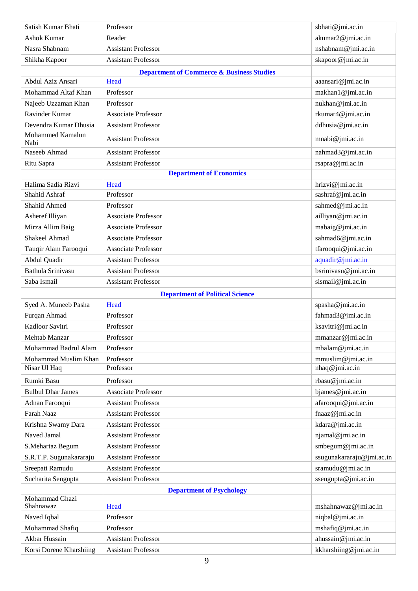| Satish Kumar Bhati               | Professor                                            | sbhati@jmi.ac.in                            |
|----------------------------------|------------------------------------------------------|---------------------------------------------|
| <b>Ashok Kumar</b>               | Reader                                               | akumar2@jmi.ac.in                           |
| Nasra Shabnam                    | <b>Assistant Professor</b>                           | nshabnam@jmi.ac.in                          |
| Shikha Kapoor                    | <b>Assistant Professor</b>                           | skapoor@jmi.ac.in                           |
|                                  | <b>Department of Commerce &amp; Business Studies</b> |                                             |
| Abdul Aziz Ansari                | Head                                                 | aaansari@jmi.ac.in                          |
| Mohammad Altaf Khan              | Professor                                            | makhan1@jmi.ac.in                           |
| Najeeb Uzzaman Khan              | Professor                                            | nukhan@jmi.ac.in                            |
| <b>Ravinder Kumar</b>            | <b>Associate Professor</b>                           | rkumar4@jmi.ac.in                           |
| Devendra Kumar Dhusia            | <b>Assistant Professor</b>                           | ddhusia@jmi.ac.in                           |
| Mohammed Kamalun<br>Nabi         | <b>Assistant Professor</b>                           | mnabi@jmi.ac.in                             |
| Naseeb Ahmad                     | <b>Assistant Professor</b>                           | nahmad3@jmi.ac.in                           |
| Ritu Sapra                       | <b>Assistant Professor</b>                           | rsapra@jmi.ac.in                            |
|                                  | <b>Department of Economics</b>                       |                                             |
| Halima Sadia Rizvi               | Head                                                 | hrizvi@jmi.ac.in                            |
| Shahid Ashraf                    | Professor                                            | sashraf@jmi.ac.in                           |
| Shahid Ahmed                     | Professor                                            | sahmed@jmi.ac.in                            |
| Asheref Illiyan                  | <b>Associate Professor</b>                           | ailliyan@jmi.ac.in                          |
| Mirza Allim Baig                 | <b>Associate Professor</b>                           | mabaig@jmi.ac.in                            |
| Shakeel Ahmad                    | <b>Associate Professor</b>                           | sahmad6@jmi.ac.in                           |
| Tauqir Alam Farooqui             | <b>Associate Professor</b>                           | tfarooqui@jmi.ac.in                         |
| Abdul Quadir                     | <b>Assistant Professor</b>                           | aquadir@jmi.ac.in                           |
| Bathula Srinivasu                | <b>Assistant Professor</b>                           | bsrinivasu@jmi.ac.in                        |
| Saba Ismail                      | <b>Assistant Professor</b>                           | sismail@jmi.ac.in                           |
|                                  |                                                      |                                             |
|                                  |                                                      |                                             |
| Syed A. Muneeb Pasha             | <b>Department of Political Science</b><br>Head       |                                             |
| Furqan Ahmad                     | Professor                                            | spasha@jmi.ac.in                            |
|                                  | Professor                                            | fahmad3@jmi.ac.in                           |
| Kadloor Savitri<br>Mehtab Manzar | Professor                                            | ksavitri@jmi.ac.in                          |
| Mohammad Badrul Alam             | Professor                                            | mmanzar@jmi.ac.in<br>mbalam@jmi.ac.in       |
| Mohammad Muslim Khan             | Professor                                            |                                             |
| Nisar Ul Haq                     | Professor                                            | mmuslim@jmi.ac.in<br>nhaq@jmi.ac.in         |
| Rumki Basu                       | Professor                                            |                                             |
| <b>Bulbul Dhar James</b>         |                                                      | rbasu@jmi.ac.in                             |
|                                  | <b>Associate Professor</b>                           | bjames@jmi.ac.in                            |
| Adnan Farooqui<br>Farah Naaz     | <b>Assistant Professor</b>                           | afarooqui@jmi.ac.in                         |
|                                  | <b>Assistant Professor</b>                           | fnaaz@jmi.ac.in                             |
| Krishna Swamy Dara               | <b>Assistant Professor</b>                           | kdara@jmi.ac.in                             |
| Naved Jamal                      | <b>Assistant Professor</b>                           | njamal@jmi.ac.in                            |
| S.Mehartaz Begum                 | <b>Assistant Professor</b>                           | smbegum@jmi.ac.in                           |
| S.R.T.P. Sugunakararaju          | <b>Assistant Professor</b>                           | ssugunakararaju@jmi.ac.in                   |
| Sreepati Ramudu                  | <b>Assistant Professor</b>                           | sramudu@jmi.ac.in                           |
| Sucharita Sengupta               | <b>Assistant Professor</b>                           | ssengupta@jmi.ac.in                         |
| Mohammad Ghazi                   | <b>Department of Psychology</b>                      |                                             |
| Shahnawaz                        | Head                                                 | mshahnawaz@jmi.ac.in                        |
| Naved Iqbal                      | Professor                                            | niqbal@jmi.ac.in                            |
| Mohammad Shafiq                  | Professor                                            | mshafiq@jmi.ac.in                           |
| Akbar Hussain                    | <b>Assistant Professor</b>                           | ahussain@jmi.ac.in<br>kkharshiing@jmi.ac.in |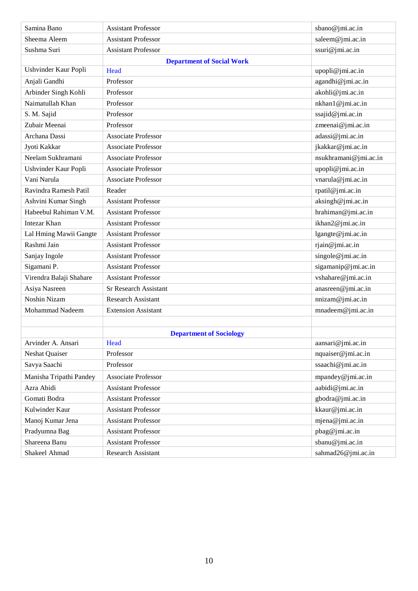| Samina Bano             | <b>Assistant Professor</b>       | sbano@jmi.ac.in       |
|-------------------------|----------------------------------|-----------------------|
| Sheema Aleem            | <b>Assistant Professor</b>       | saleem@jmi.ac.in      |
| Sushma Suri             | <b>Assistant Professor</b>       | ssuri@jmi.ac.in       |
|                         | <b>Department of Social Work</b> |                       |
| Ushvinder Kaur Popli    | Head                             | upopli@jmi.ac.in      |
| Anjali Gandhi           | Professor                        | agandhi@jmi.ac.in     |
| Arbinder Singh Kohli    | Professor                        | akohli@jmi.ac.in      |
| Naimatullah Khan        | Professor                        | nkhan1@jmi.ac.in      |
| S. M. Sajid             | Professor                        | ssajid@jmi.ac.in      |
| Zubair Meenai           | Professor                        | zmeenai@jmi.ac.in     |
| Archana Dassi           | <b>Associate Professor</b>       | adassi@jmi.ac.in      |
| Jyoti Kakkar            | <b>Associate Professor</b>       | jkakkar@jmi.ac.in     |
| Neelam Sukhramani       | <b>Associate Professor</b>       | nsukhramani@jmi.ac.in |
| Ushvinder Kaur Popli    | <b>Associate Professor</b>       | upopli@jmi.ac.in      |
| Vani Narula             | <b>Associate Professor</b>       | vnarula@jmi.ac.in     |
| Ravindra Ramesh Patil   | Reader                           | rpatil@jmi.ac.in      |
| Ashvini Kumar Singh     | <b>Assistant Professor</b>       | aksingh@jmi.ac.in     |
| Habeebul Rahiman V.M.   | <b>Assistant Professor</b>       | hrahiman@jmi.ac.in    |
| <b>Intezar Khan</b>     | <b>Assistant Professor</b>       | ikhan2@jmi.ac.in      |
| Lal Hming Mawii Gangte  | <b>Assistant Professor</b>       | lgangte@jmi.ac.in     |
| Rashmi Jain             | <b>Assistant Professor</b>       | rjain@jmi.ac.in       |
| Sanjay Ingole           | <b>Assistant Professor</b>       | singole@jmi.ac.in     |
| Sigamani P.             | <b>Assistant Professor</b>       | sigamanip@jmi.ac.in   |
| Virendra Balaji Shahare | <b>Assistant Professor</b>       | vshahare@jmi.ac.in    |
| Asiya Nasreen           | <b>Sr Research Assistant</b>     | anasreen@jmi.ac.in    |
| <b>Noshin Nizam</b>     | <b>Research Assistant</b>        | nnizam@jmi.ac.in      |
| Mohammad Nadeem         | <b>Extension Assistant</b>       | mnadeem@jmi.ac.in     |
|                         |                                  |                       |
|                         | <b>Department of Sociology</b>   |                       |
| Arvinder A. Ansari      | Head                             | aansari@jmi.ac.in     |
| Neshat Quaiser          | Professor                        | nquaiser@jmi.ac.in    |
| Savya Saachi            | Professor                        | ssaachi@jmi.ac.in     |
| Manisha Tripathi Pandey | Associate Professor              | mpandey@jmi.ac.in     |
| Azra Abidi              | <b>Assistant Professor</b>       | aabidi@jmi.ac.in      |
| Gomati Bodra            | <b>Assistant Professor</b>       | gbodra@jmi.ac.in      |
| Kulwinder Kaur          | <b>Assistant Professor</b>       | kkaur@jmi.ac.in       |
| Manoj Kumar Jena        | <b>Assistant Professor</b>       | mjena@jmi.ac.in       |
| Pradyumna Bag           | <b>Assistant Professor</b>       | pbag@jmi.ac.in        |
| Shareena Banu           | <b>Assistant Professor</b>       | sbanu@jmi.ac.in       |
| Shakeel Ahmad           | Research Assistant               | sahmad26@jmi.ac.in    |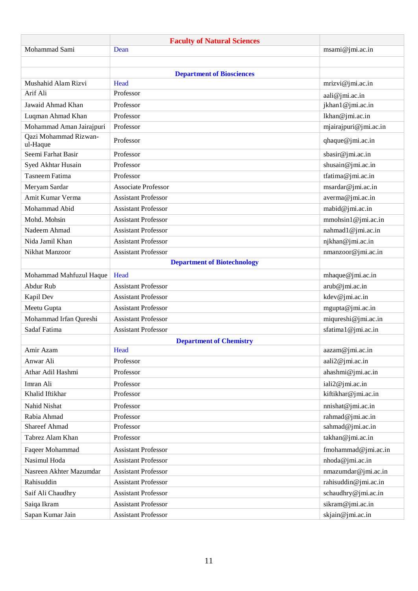|                                          | <b>Faculty of Natural Sciences</b> |                       |
|------------------------------------------|------------------------------------|-----------------------|
| Mohammad Sami                            | Dean                               | msami@jmi.ac.in       |
|                                          |                                    |                       |
|                                          | <b>Department of Biosciences</b>   |                       |
| Mushahid Alam Rizvi                      | Head                               | mrizvi@jmi.ac.in      |
| Arif Ali                                 | Professor                          | aali@jmi.ac.in        |
| Jawaid Ahmad Khan                        | Professor                          | jkhan1@jmi.ac.in      |
| Luqman Ahmad Khan                        | Professor                          | lkhan@jmi.ac.in       |
| Mohammad Aman Jairajpuri                 | Professor                          | mjairajpuri@jmi.ac.in |
| <b>Oazi Mohammad Rizwan-</b><br>ul-Haque | Professor                          | qhaque@jmi.ac.in      |
| Seemi Farhat Basir                       | Professor                          | sbasir@jmi.ac.in      |
| Syed Akhtar Husain                       | Professor                          | shusain@jmi.ac.in     |
| Tasneem Fatima                           | Professor                          | tfatima@jmi.ac.in     |
| Meryam Sardar                            | <b>Associate Professor</b>         | msardar@jmi.ac.in     |
| Amit Kumar Verma                         | <b>Assistant Professor</b>         | averma@jmi.ac.in      |
| Mohammad Abid                            | <b>Assistant Professor</b>         | mabid@jmi.ac.in       |
| Mohd. Mohsin                             | <b>Assistant Professor</b>         | mmohsin1@jmi.ac.in    |
| Nadeem Ahmad                             | <b>Assistant Professor</b>         | nahmad1@jmi.ac.in     |
| Nida Jamil Khan                          | <b>Assistant Professor</b>         | njkhan@jmi.ac.in      |
| Nikhat Manzoor                           | <b>Assistant Professor</b>         | nmanzoor@jmi.ac.in    |
|                                          | <b>Department of Biotechnology</b> |                       |
| Mohammad Mahfuzul Haque                  | Head                               | mhaque@jmi.ac.in      |
| Abdur Rub                                | <b>Assistant Professor</b>         | arub@jmi.ac.in        |
| Kapil Dev                                | <b>Assistant Professor</b>         | kdev@jmi.ac.in        |
| Meetu Gupta                              | <b>Assistant Professor</b>         | mgupta@jmi.ac.in      |
| Mohammad Irfan Qureshi                   | <b>Assistant Professor</b>         | $miqureshi@jmi.ac.in$ |
| Sadaf Fatima                             | <b>Assistant Professor</b>         | sfatima1@jmi.ac.in    |
|                                          | <b>Department of Chemistry</b>     |                       |
| Amir Azam                                | Head                               | aazam@jmi.ac.in       |
| Anwar Ali                                | Professor                          | aali2@jmi.ac.in       |
| Athar Adil Hashmi                        | Professor                          | ahashmi@jmi.ac.in     |
| Imran Ali                                | Professor                          | iali2@jmi.ac.in       |
| Khalid Iftikhar                          | Professor                          | kiftikhar@jmi.ac.in   |
| Nahid Nishat                             | Professor                          | nnishat@jmi.ac.in     |
| Rabia Ahmad                              | Professor                          | rahmad@jmi.ac.in      |
| <b>Shareef Ahmad</b>                     | Professor                          | sahmad@jmi.ac.in      |
| Tabrez Alam Khan                         | Professor                          | takhan@jmi.ac.in      |
| Faqeer Mohammad                          | <b>Assistant Professor</b>         | fmohammad@jmi.ac.in   |
| Nasimul Hoda                             | <b>Assistant Professor</b>         | nhoda@jmi.ac.in       |
| Nasreen Akhter Mazumdar                  | <b>Assistant Professor</b>         | nmazumdar@jmi.ac.in   |
| Rahisuddin                               | <b>Assistant Professor</b>         | rahisuddin@jmi.ac.in  |
| Saif Ali Chaudhry                        | <b>Assistant Professor</b>         | schaudhry@jmi.ac.in   |
| Saiqa Ikram                              | <b>Assistant Professor</b>         | sikram@jmi.ac.in      |
| Sapan Kumar Jain                         | <b>Assistant Professor</b>         | skjain@jmi.ac.in      |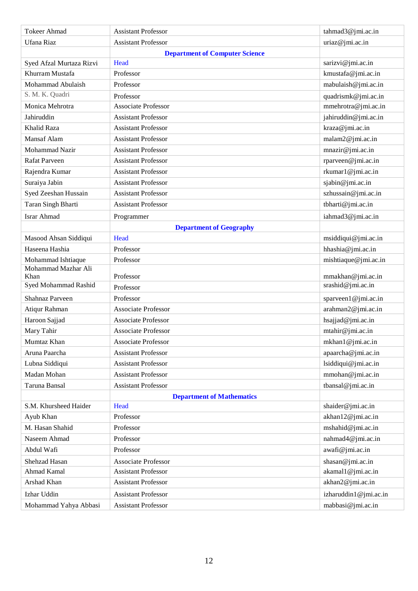| <b>Tokeer Ahmad</b>          | <b>Assistant Professor</b>            | tahmad3@jmi.ac.in                      |
|------------------------------|---------------------------------------|----------------------------------------|
| Ufana Riaz                   | <b>Assistant Professor</b>            | uriaz@jmi.ac.in                        |
|                              | <b>Department of Computer Science</b> |                                        |
| Syed Afzal Murtaza Rizvi     | Head                                  | sarizvi@jmi.ac.in                      |
| Khurram Mustafa              | Professor                             | kmustafa@jmi.ac.in                     |
| Mohammad Abulaish            | Professor                             | mabulaish@jmi.ac.in                    |
| S. M. K. Quadri              | Professor                             | quadrismk@jmi.ac.in                    |
| Monica Mehrotra              | <b>Associate Professor</b>            | mmehrotra@jmi.ac.in                    |
| Jahiruddin                   | <b>Assistant Professor</b>            | jahiruddin@jmi.ac.in                   |
| Khalid Raza                  | <b>Assistant Professor</b>            | kraza@jmi.ac.in                        |
| <b>Mansaf Alam</b>           | <b>Assistant Professor</b>            | malam2@jmi.ac.in                       |
| Mohammad Nazir               | <b>Assistant Professor</b>            | mnazir@jmi.ac.in                       |
| <b>Rafat Parveen</b>         | <b>Assistant Professor</b>            | rparveen@jmi.ac.in                     |
| Rajendra Kumar               | <b>Assistant Professor</b>            | rkumar1@jmi.ac.in                      |
| Suraiya Jabin                | <b>Assistant Professor</b>            | sjabin@jmi.ac.in                       |
| Syed Zeeshan Hussain         | <b>Assistant Professor</b>            | szhussain@jmi.ac.in                    |
| Taran Singh Bharti           | <b>Assistant Professor</b>            | tbharti@jmi.ac.in                      |
| <b>Israr Ahmad</b>           | Programmer                            | iahmad3@jmi.ac.in                      |
|                              | <b>Department of Geography</b>        |                                        |
| Masood Ahsan Siddiqui        | Head                                  | msiddiqui@jmi.ac.in                    |
| Haseena Hashia               | Professor                             | hhashia@jmi.ac.in                      |
| Mohammad Ishtiaque           | Professor                             | mishtiaque@jmi.ac.in                   |
| Mohammad Mazhar Ali          |                                       |                                        |
| Khan<br>Syed Mohammad Rashid | Professor                             | mmakhan@jmi.ac.in<br>srashid@jmi.ac.in |
|                              | Professor                             |                                        |
| <b>Shahnaz Parveen</b>       | Professor                             | sparveen1@jmi.ac.in                    |
| Atiqur Rahman                | <b>Associate Professor</b>            | arahman2@jmi.ac.in                     |
| Haroon Sajjad                | <b>Associate Professor</b>            | hsajjad@jmi.ac.in                      |
| Mary Tahir                   | <b>Associate Professor</b>            | mtahir@jmi.ac.in                       |
| Mumtaz Khan                  | Associate Professor                   | mkhan1@jmi.ac.in                       |
| Aruna Paarcha                | <b>Assistant Professor</b>            | apaarcha@jmi.ac.in                     |
| Lubna Siddiqui               | <b>Assistant Professor</b>            | lsiddiqui@jmi.ac.in                    |
| Madan Mohan                  | <b>Assistant Professor</b>            | mmohan@jmi.ac.in                       |
| Taruna Bansal                | <b>Assistant Professor</b>            | tbansal@jmi.ac.in                      |
|                              | <b>Department of Mathematics</b>      |                                        |
| S.M. Khursheed Haider        | Head                                  | shaider@jmi.ac.in                      |
| Ayub Khan                    | Professor                             | akhan12@jmi.ac.in                      |
| M. Hasan Shahid              | Professor                             | mshahid@jmi.ac.in                      |
| Naseem Ahmad                 | Professor                             | nahmad4@jmi.ac.in                      |
| Abdul Wafi                   | Professor                             | awafi@jmi.ac.in                        |
| Shehzad Hasan                | <b>Associate Professor</b>            | shasan@jmi.ac.in                       |
| Ahmad Kamal                  | <b>Assistant Professor</b>            | akamal1@jmi.ac.in                      |
| Arshad Khan                  | <b>Assistant Professor</b>            | akhan2@jmi.ac.in                       |
| Izhar Uddin                  | <b>Assistant Professor</b>            | izharuddin1@jmi.ac.in                  |
| Mohammad Yahya Abbasi        | <b>Assistant Professor</b>            | mabbasi@jmi.ac.in                      |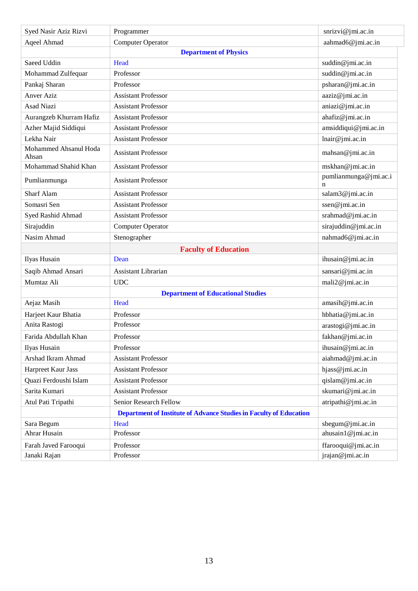| Syed Nasir Aziz Rizvi          | Programmer                                                         | snrizvi@jmi.ac.in          |
|--------------------------------|--------------------------------------------------------------------|----------------------------|
| Aqeel Ahmad                    | Computer Operator                                                  | aahmad6@jmi.ac.in          |
|                                | <b>Department of Physics</b>                                       |                            |
| Saeed Uddin                    | Head                                                               | suddin@jmi.ac.in           |
| Mohammad Zulfequar             | Professor                                                          | suddin@jmi.ac.in           |
| Pankaj Sharan                  | Professor                                                          | psharan@jmi.ac.in          |
| <b>Anver Aziz</b>              | <b>Assistant Professor</b>                                         | aaziz@jmi.ac.in            |
| <b>Asad Niazi</b>              | <b>Assistant Professor</b>                                         | aniazi@jmi.ac.in           |
| Aurangzeb Khurram Hafiz        | <b>Assistant Professor</b>                                         | ahafiz@jmi.ac.in           |
| Azher Majid Siddiqui           | <b>Assistant Professor</b>                                         | amsiddiqui@jmi.ac.in       |
| Lekha Nair                     | <b>Assistant Professor</b>                                         | lnair@jmi.ac.in            |
| Mohammed Ahsanul Hoda<br>Ahsan | <b>Assistant Professor</b>                                         | mahsan@jmi.ac.in           |
| Mohammad Shahid Khan           | <b>Assistant Professor</b>                                         | mskhan@jmi.ac.in           |
| Pumlianmunga                   | <b>Assistant Professor</b>                                         | pumlianmunga@jmi.ac.i<br>n |
| Sharf Alam                     | <b>Assistant Professor</b>                                         | salam3@jmi.ac.in           |
| Somasri Sen                    | <b>Assistant Professor</b>                                         | ssen@jmi.ac.in             |
| Syed Rashid Ahmad              | <b>Assistant Professor</b>                                         | srahmad@jmi.ac.in          |
| Sirajuddin                     | Computer Operator                                                  | sirajuddin@jmi.ac.in       |
| Nasim Ahmad                    | Stenographer                                                       | nahmad6@jmi.ac.in          |
|                                | <b>Faculty of Education</b>                                        |                            |
| Ilyas Husain                   | Dean                                                               | ihusain@jmi.ac.in          |
| Saqib Ahmad Ansari             | Assistant Librarian                                                | sansari@jmi.ac.in          |
| Mumtaz Ali                     | <b>UDC</b>                                                         | mali2@jmi.ac.in            |
|                                | <b>Department of Educational Studies</b>                           |                            |
| Aejaz Masih                    | Head                                                               | amasih@jmi.ac.in           |
| Harjeet Kaur Bhatia            | Professor                                                          | hbhatia@jmi.ac.in          |
| Anita Rastogi                  | Professor                                                          | arastogi@jmi.ac.in         |
| Farida Abdullah Khan           | Professor                                                          | fakhan@jmi.ac.in           |
| Ilyas Husain                   | Professor                                                          | ihusain@jmi.ac.in          |
| Arshad Ikram Ahmad             | <b>Assistant Professor</b>                                         | aiahmad@jmi.ac.in          |
| Harpreet Kaur Jass             | <b>Assistant Professor</b>                                         | hjass@jmi.ac.in            |
| Quazi Ferdoushi Islam          | <b>Assistant Professor</b>                                         | qislam@jmi.ac.in           |
| Sarita Kumari                  | <b>Assistant Professor</b>                                         | skumari@jmi.ac.in          |
| Atul Pati Tripathi             | Senior Research Fellow                                             | atripathi@jmi.ac.in        |
|                                | Department of Institute of Advance Studies in Faculty of Education |                            |
| Sara Begum                     | Head                                                               | sbegum@jmi.ac.in           |
| Ahrar Husain                   | Professor                                                          | ahusain1@jmi.ac.in         |
| Farah Javed Farooqui           | Professor                                                          | ffarooqui@jmi.ac.in        |
| Janaki Rajan                   | Professor                                                          | jrajan@jmi.ac.in           |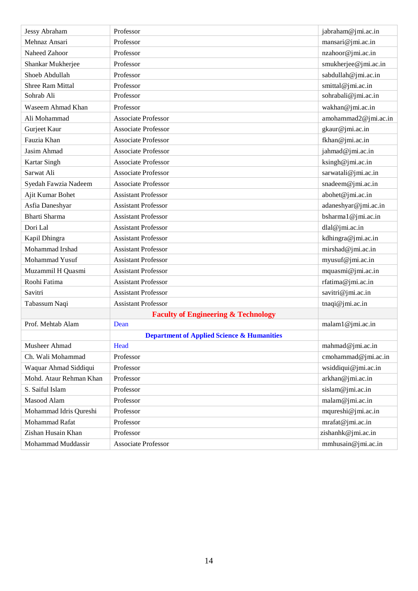| Jessy Abraham           | Professor                                             | jabraham@jmi.ac.in   |
|-------------------------|-------------------------------------------------------|----------------------|
| Mehnaz Ansari           | Professor                                             | mansari@jmi.ac.in    |
| Naheed Zahoor           | Professor                                             | nzahoor@jmi.ac.in    |
| Shankar Mukherjee       | Professor                                             | smukherjee@jmi.ac.in |
| Shoeb Abdullah          | Professor                                             | sabdullah@jmi.ac.in  |
| <b>Shree Ram Mittal</b> | Professor                                             | smittal@jmi.ac.in    |
| Sohrab Ali              | Professor                                             | sohrabali@jmi.ac.in  |
| Waseem Ahmad Khan       | Professor                                             | wakhan@jmi.ac.in     |
| Ali Mohammad            | <b>Associate Professor</b>                            | amohammad2@jmi.ac.in |
| Gurjeet Kaur            | <b>Associate Professor</b>                            | gkaur@jmi.ac.in      |
| Fauzia Khan             | <b>Associate Professor</b>                            | fkhan@jmi.ac.in      |
| Jasim Ahmad             | <b>Associate Professor</b>                            | jahmad@jmi.ac.in     |
| Kartar Singh            | <b>Associate Professor</b>                            | ksingh@jmi.ac.in     |
| Sarwat Ali              | <b>Associate Professor</b>                            | sarwatali@jmi.ac.in  |
| Syedah Fawzia Nadeem    | <b>Associate Professor</b>                            | snadeem@jmi.ac.in    |
| Ajit Kumar Bohet        | <b>Assistant Professor</b>                            | abohet@jmi.ac.in     |
| Asfia Daneshyar         | <b>Assistant Professor</b>                            | adaneshyar@jmi.ac.in |
| Bharti Sharma           | <b>Assistant Professor</b>                            | bsharma1@jmi.ac.in   |
| Dori Lal                | <b>Assistant Professor</b>                            | dlal@jmi.ac.in       |
| Kapil Dhingra           | <b>Assistant Professor</b>                            | kdhingra@jmi.ac.in   |
| Mohammad Irshad         | <b>Assistant Professor</b>                            | mirshad@jmi.ac.in    |
| Mohammad Yusuf          | <b>Assistant Professor</b>                            | myusuf@jmi.ac.in     |
| Muzammil H Quasmi       | <b>Assistant Professor</b>                            | mquasmi@jmi.ac.in    |
| Roohi Fatima            | <b>Assistant Professor</b>                            | rfatima@jmi.ac.in    |
| Savitri                 | <b>Assistant Professor</b>                            | savitri@jmi.ac.in    |
| Tabassum Naqi           | <b>Assistant Professor</b>                            | tnaqi@jmi.ac.in      |
|                         | <b>Faculty of Engineering &amp; Technology</b>        |                      |
| Prof. Mehtab Alam       | Dean                                                  | malam1@jmi.ac.in     |
|                         | <b>Department of Applied Science &amp; Humanities</b> |                      |
| Musheer Ahmad           | Head                                                  | mahmad@jmi.ac.in     |
| Ch. Wali Mohammad       | Professor                                             | cmohammad@jmi.ac.in  |
| Waquar Ahmad Siddiqui   | Professor                                             | wsiddiqui@jmi.ac.in  |
| Mohd. Ataur Rehman Khan | Professor                                             | arkhan@jmi.ac.in     |
| S. Saiful Islam         | Professor                                             | sislam@jmi.ac.in     |
| Masood Alam             | Professor                                             | malam@jmi.ac.in      |
| Mohammad Idris Qureshi  | Professor                                             | mqureshi@jmi.ac.in   |
| Mohammad Rafat          | Professor                                             | mrafat@jmi.ac.in     |
| Zishan Husain Khan      | Professor                                             | zishanhk@jmi.ac.in   |
| Mohammad Muddassir      | Associate Professor                                   | mmhusain@jmi.ac.in   |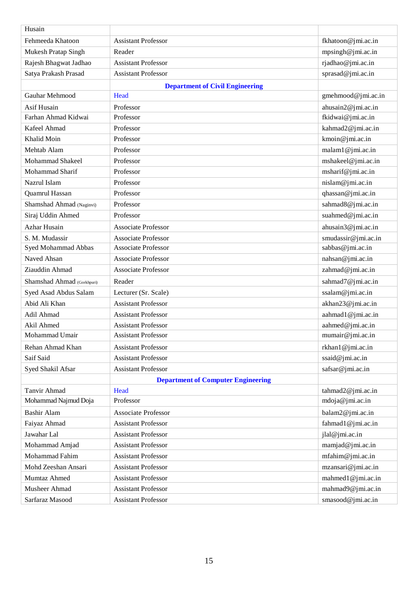| Husain                     |                                           |                     |
|----------------------------|-------------------------------------------|---------------------|
| Fehmeeda Khatoon           | <b>Assistant Professor</b>                | fkhatoon@jmi.ac.in  |
| Mukesh Pratap Singh        | Reader                                    | mpsingh@jmi.ac.in   |
| Rajesh Bhagwat Jadhao      | <b>Assistant Professor</b>                | rjadhao@jmi.ac.in   |
| Satya Prakash Prasad       | <b>Assistant Professor</b>                | sprasad@jmi.ac.in   |
|                            | <b>Department of Civil Engineering</b>    |                     |
| Gauhar Mehmood             | Head                                      | gmehmood@jmi.ac.in  |
| Asif Husain                | Professor                                 | ahusain2@jmi.ac.in  |
| Farhan Ahmad Kidwai        | Professor                                 | fkidwai@jmi.ac.in   |
| Kafeel Ahmad               | Professor                                 | kahmad2@jmi.ac.in   |
| Khalid Moin                | Professor                                 | kmoin@jmi.ac.in     |
| Mehtab Alam                | Professor                                 | malam1@jmi.ac.in    |
| Mohammad Shakeel           | Professor                                 | mshakeel@jmi.ac.in  |
| Mohammad Sharif            | Professor                                 | msharif@jmi.ac.in   |
| Nazrul Islam               | Professor                                 | nislam@jmi.ac.in    |
| Quamrul Hassan             | Professor                                 | qhassan@jmi.ac.in   |
| Shamshad Ahmad (Naginvi)   | Professor                                 | sahmad8@jmi.ac.in   |
| Siraj Uddin Ahmed          | Professor                                 | suahmed@jmi.ac.in   |
| <b>Azhar Husain</b>        | <b>Associate Professor</b>                | ahusain3@jmi.ac.in  |
| S. M. Mudassir             | <b>Associate Professor</b>                | smudassir@jmi.ac.in |
| Syed Mohammad Abbas        | <b>Associate Professor</b>                | sabbas@jmi.ac.in    |
| Naved Ahsan                | <b>Associate Professor</b>                | nahsan@jmi.ac.in    |
| Ziauddin Ahmad             | <b>Associate Professor</b>                | zahmad@jmi.ac.in    |
| Shamshad Ahmad (Gorkhpuri) | Reader                                    | sahmad7@jmi.ac.in   |
| Syed Asad Abdus Salam      | Lecturer (Sr. Scale)                      | ssalam@jmi.ac.in    |
| Abid Ali Khan              | <b>Assistant Professor</b>                | akhan23@jmi.ac.in   |
| Adil Ahmad                 | <b>Assistant Professor</b>                | aahmad1@jmi.ac.in   |
| Akil Ahmed                 | <b>Assistant Professor</b>                | aahmed@jmi.ac.in    |
| Mohammad Umair             | <b>Assistant Professor</b>                | mumair@jmi.ac.in    |
| Rehan Ahmad Khan           | <b>Assistant Professor</b>                | rkhan1@jmi.ac.in    |
| Saif Said                  | <b>Assistant Professor</b>                | ssaid@jmi.ac.in     |
| Syed Shakil Afsar          | <b>Assistant Professor</b>                | safsar@jmi.ac.in    |
|                            | <b>Department of Computer Engineering</b> |                     |
| Tanvir Ahmad               | Head                                      | tahmad2@jmi.ac.in   |
| Mohammad Najmud Doja       | Professor                                 | mdoja@jmi.ac.in     |
| <b>Bashir Alam</b>         | <b>Associate Professor</b>                | balam2@jmi.ac.in    |
| Faiyaz Ahmad               | <b>Assistant Professor</b>                | fahmad1@jmi.ac.in   |
| Jawahar Lal                | <b>Assistant Professor</b>                | jlal@jmi.ac.in      |
| Mohammad Amjad             | <b>Assistant Professor</b>                | mamjad@jmi.ac.in    |
| Mohammad Fahim             | <b>Assistant Professor</b>                | mfahim@jmi.ac.in    |
| Mohd Zeeshan Ansari        | <b>Assistant Professor</b>                | mzansari@jmi.ac.in  |
| Mumtaz Ahmed               | <b>Assistant Professor</b>                | mahmed1@jmi.ac.in   |
| Musheer Ahmad              | <b>Assistant Professor</b>                | mahmad9@jmi.ac.in   |
| Sarfaraz Masood            | <b>Assistant Professor</b>                | smasood@jmi.ac.in   |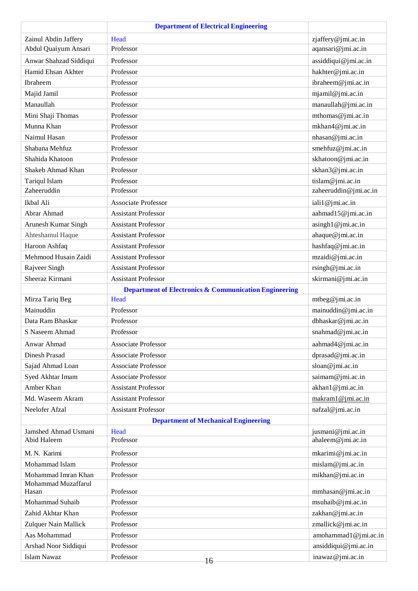|                        | <b>Department of Electrical Engineering</b>                      |                       |
|------------------------|------------------------------------------------------------------|-----------------------|
| Zainul Abdin Jaffery   | Head                                                             | zjaffery@jmi.ac.in    |
| Abdul Quaiyum Ansari   | Professor                                                        | aqansari@jmi.ac.in    |
| Anwar Shahzad Siddiqui | Professor                                                        | assiddiqui@jmi.ac.in  |
| Hamid Ehsan Akhter     | Professor                                                        | hakhter@jmi.ac.in     |
| Ibraheem               | Professor                                                        | ibraheem@jmi.ac.in    |
| Majid Jamil            | Professor                                                        | mjamil@jmi.ac.in      |
| Manaullah              | Professor                                                        | manaullah@jmi.ac.in   |
| Mini Shaji Thomas      | Professor                                                        | mthomas@jmi.ac.in     |
| Munna Khan             | Professor                                                        | mkhan4@jmi.ac.in      |
| Naimul Hasan           | Professor                                                        | nhasan@jmi.ac.in      |
| Shabana Mehfuz         | Professor                                                        | smehfuz@jmi.ac.in     |
| Shahida Khatoon        | Professor                                                        | skhatoon@jmi.ac.in    |
| Shakeb Ahmad Khan      | Professor                                                        | skhan3@jmi.ac.in      |
| Tariqul Islam          | Professor                                                        | tislam@jmi.ac.in      |
| Zaheeruddin            | Professor                                                        | zaheeruddin@jmi.ac.in |
| Ikbal Ali              | <b>Associate Professor</b>                                       | iali1@jmi.ac.in       |
| Abrar Ahmad            | <b>Assistant Professor</b>                                       | aahmad15@jmi.ac.in    |
| Arunesh Kumar Singh    | <b>Assistant Professor</b>                                       | asingh1@jmi.ac.in     |
| Ahteshamul Haque       | <b>Assistant Professor</b>                                       | ahaque@jmi.ac.in      |
| Haroon Ashfaq          | <b>Assistant Professor</b>                                       | hashfaq@jmi.ac.in     |
| Mehmood Husain Zaidi   | <b>Assistant Professor</b>                                       | mzaidi@jmi.ac.in      |
| Rajveer Singh          | <b>Assistant Professor</b>                                       | rsingh@jmi.ac.in      |
| Sheeraz Kirmani        | <b>Assistant Professor</b>                                       | skirmani@jmi.ac.in    |
|                        | <b>Department of Electronics &amp; Communication Engineering</b> |                       |
| Mirza Tariq Beg        | Head                                                             | mtbeg@jmi.ac.in       |
| Mainuddin              | Professor                                                        | mainuddin@jmi.ac.in   |
| Data Ram Bhaskar       | Professor                                                        | dbhaskar@jmi.ac.in    |
| S Naseem Ahmad         | Professor                                                        | snahmad@jmi.ac.in     |
| Anwar Ahmad            | <b>Associate Professor</b>                                       | aahmad4@jmi.ac.in     |
| Dinesh Prasad          | <b>Associate Professor</b>                                       | dprasad@jmi.ac.in     |
| Sajad Ahmad Loan       | <b>Associate Professor</b>                                       | sloan@jmi.ac.in       |
| Syed Akhtar Imam       | <b>Associate Professor</b>                                       | saimam@jmi.ac.in      |
| Amber Khan             | <b>Assistant Professor</b>                                       | akhan1@jmi.ac.in      |
| Md. Waseem Akram       | <b>Assistant Professor</b>                                       | makram1@jmi.ac.in     |
| Neelofer Afzal         | <b>Assistant Professor</b>                                       | nafzal@jmi.ac.in      |
|                        | <b>Department of Mechanical Engineering</b>                      |                       |
| Jamshed Ahmad Usmani   | Head                                                             | jusmani@jmi.ac.in     |
| Abid Haleem            | Professor                                                        | ahaleem@jmi.ac.in     |
| M. N. Karimi           | Professor                                                        | mkarimi@jmi.ac.in     |
| Mohammad Islam         | Professor                                                        | mislam@jmi.ac.in      |
| Mohammad Imran Khan    | Professor                                                        | mikhan@jmi.ac.in      |
| Mohammad Muzaffarul    |                                                                  |                       |
| Hasan                  | Professor                                                        | mmhasan@jmi.ac.in     |
| Mohammad Suhaib        | Professor                                                        | msuhaib@jmi.ac.in     |
| Zahid Akhtar Khan      | Professor                                                        | zakhan@jmi.ac.in      |
| Zulquer Nain Mallick   | Professor                                                        | zmallick@jmi.ac.in    |
| Aas Mohammad           | Professor                                                        | amohammad1@jmi.ac.in  |
| Arshad Noor Siddiqui   | Professor                                                        | ansiddiqui@jmi.ac.in  |
| <b>Islam Nawaz</b>     | Professor<br>16                                                  | inawaz@jmi.ac.in      |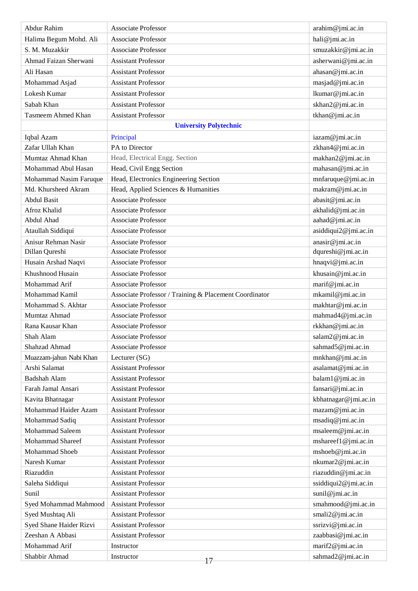| Abdur Rahim               | <b>Associate Professor</b>                             | arahim@jmi.ac.in     |
|---------------------------|--------------------------------------------------------|----------------------|
| Halima Begum Mohd. Ali    | <b>Associate Professor</b>                             | hali@jmi.ac.in       |
| S. M. Muzakkir            | <b>Associate Professor</b>                             | smuzakkir@jmi.ac.in  |
| Ahmad Faizan Sherwani     | <b>Assistant Professor</b>                             | asherwani@jmi.ac.in  |
| Ali Hasan                 | <b>Assistant Professor</b>                             | ahasan@jmi.ac.in     |
| Mohammad Asjad            | <b>Assistant Professor</b>                             | masjad@jmi.ac.in     |
| Lokesh Kumar              | <b>Assistant Professor</b>                             | lkumar@jmi.ac.in     |
| Sabah Khan                | <b>Assistant Professor</b>                             | skhan2@jmi.ac.in     |
| <b>Tasmeem Ahmed Khan</b> | <b>Assistant Professor</b>                             | tkhan@jmi.ac.in      |
|                           | <b>University Polytechnic</b>                          |                      |
| Iqbal Azam                | Principal                                              | iazam@jmi.ac.in      |
| Zafar Ullah Khan          | PA to Director                                         | zkhan4@jmi.ac.in     |
| Mumtaz Ahmad Khan         | Head, Electrical Engg. Section                         | makhan2@jmi.ac.in    |
| Mohammad Abul Hasan       | Head, Civil Engg Section                               | mahasan@jmi.ac.in    |
| Mohammad Nasim Faruque    | Head, Electronics Engineering Section                  | mnfaruque@jmi.ac.in  |
| Md. Khursheed Akram       | Head, Applied Sciences & Humanities                    | makram@jmi.ac.in     |
| <b>Abdul Basit</b>        | <b>Associate Professor</b>                             | abasit@jmi.ac.in     |
| Afroz Khalid              | <b>Associate Professor</b>                             | akhalid@jmi.ac.in    |
| Abdul Ahad                | Associate Professor                                    | aahad@jmi.ac.in      |
| Ataullah Siddiqui         | <b>Associate Professor</b>                             | asiddiqui2@jmi.ac.in |
| Anisur Rehman Nasir       | <b>Associate Professor</b>                             | anasir@jmi.ac.in     |
| Dillan Qureshi            | <b>Associate Professor</b>                             | dqureshi@jmi.ac.in   |
| Husain Arshad Naqvi       | <b>Associate Professor</b>                             | hnaqvi@jmi.ac.in     |
| Khushnood Husain          | <b>Associate Professor</b>                             | khusain@jmi.ac.in    |
| Mohammad Arif             | <b>Associate Professor</b>                             | marif@jmi.ac.in      |
| Mohammad Kamil            | Associate Professor / Training & Placement Coordinator | mkamil@jmi.ac.in     |
| Mohammad S. Akhtar        | <b>Associate Professor</b>                             | makhtar@jmi.ac.in    |
| Mumtaz Ahmad              | <b>Associate Professor</b>                             | mahmad4@jmi.ac.in    |
| Rana Kausar Khan          | <b>Associate Professor</b>                             | rkkhan@jmi.ac.in     |
| Shah Alam                 | <b>Associate Professor</b>                             | salam2@jmi.ac.in     |
| Shahzad Ahmad             | <b>Associate Professor</b>                             | sahmad5@jmi.ac.in    |
| Muazzam-jahun Nabi Khan   | Lecturer (SG)                                          | mnkhan@jmi.ac.in     |
| Arshi Salamat             | <b>Assistant Professor</b>                             | asalamat@jmi.ac.in   |
| Badshah Alam              | <b>Assistant Professor</b>                             | balam1@jmi.ac.in     |
| Farah Jamal Ansari        | <b>Assistant Professor</b>                             | fansari@jmi.ac.in    |
| Kavita Bhatnagar          | <b>Assistant Professor</b>                             | kbhatnagar@jmi.ac.in |
| Mohammad Haider Azam      | <b>Assistant Professor</b>                             | mazam@jmi.ac.in      |
| Mohammad Sadiq            | <b>Assistant Professor</b>                             | msadiq@jmi.ac.in     |
| Mohammad Saleem           | <b>Assistant Professor</b>                             | msaleem@jmi.ac.in    |
| Mohammad Shareef          | <b>Assistant Professor</b>                             | mshareef1@jmi.ac.in  |
| <b>Mohammad Shoeb</b>     | <b>Assistant Professor</b>                             | mshoeb@jmi.ac.in     |
| Naresh Kumar              | <b>Assistant Professor</b>                             | nkumar2@jmi.ac.in    |
| Riazuddin                 | <b>Assistant Professor</b>                             | riazuddin@jmi.ac.in  |
| Saleha Siddiqui           | <b>Assistant Professor</b>                             | ssiddiqui2@jmi.ac.in |
| Sunil                     | <b>Assistant Professor</b>                             | sunil@jmi.ac.in      |
| Syed Mohammad Mahmood     | <b>Assistant Professor</b>                             | smahmood@jmi.ac.in   |
| Syed Mushtaq Ali          | <b>Assistant Professor</b>                             | smali2@jmi.ac.in     |
| Syed Shane Haider Rizvi   | <b>Assistant Professor</b>                             | ssrizvi@jmi.ac.in    |
| Zeeshan A Abbasi          | <b>Assistant Professor</b>                             | zaabbasi@jmi.ac.in   |
| Mohammad Arif             | Instructor                                             | marif2@jmi.ac.in     |
| Shabbir Ahmad             | Instructor<br>17                                       | sahmad2@jmi.ac.in    |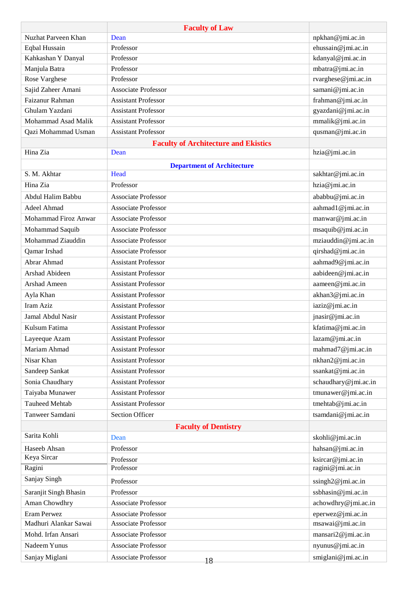|                       | <b>Faculty of Law</b>                       |                      |
|-----------------------|---------------------------------------------|----------------------|
| Nuzhat Parveen Khan   | Dean                                        | npkhan@jmi.ac.in     |
| <b>Eqbal Hussain</b>  | Professor                                   | ehussain@jmi.ac.in   |
| Kahkashan Y Danyal    | Professor                                   | kdanyal@jmi.ac.in    |
| Manjula Batra         | Professor                                   | mbatra@jmi.ac.in     |
| Rose Varghese         | Professor                                   | rvarghese@jmi.ac.in  |
| Sajid Zaheer Amani    | <b>Associate Professor</b>                  | samani@jmi.ac.in     |
| Faizanur Rahman       | <b>Assistant Professor</b>                  | frahman@jmi.ac.in    |
| Ghulam Yazdani        | <b>Assistant Professor</b>                  | gyazdani@jmi.ac.in   |
| Mohammad Asad Malik   | <b>Assistant Professor</b>                  | mmalik@jmi.ac.in     |
| Qazi Mohammad Usman   | <b>Assistant Professor</b>                  | qusman@jmi.ac.in     |
|                       | <b>Faculty of Architecture and Ekistics</b> |                      |
| Hina Zia              | Dean                                        | hzia@jmi.ac.in       |
|                       | <b>Department of Architecture</b>           |                      |
| S. M. Akhtar          | Head                                        | sakhtar@jmi.ac.in    |
| Hina Zia              | Professor                                   | hzia@jmi.ac.in       |
| Abdul Halim Babbu     | <b>Associate Professor</b>                  | ababbu@jmi.ac.in     |
| Adeel Ahmad           | <b>Associate Professor</b>                  | aahmad1@jmi.ac.in    |
| Mohammad Firoz Anwar  | <b>Associate Professor</b>                  | manwar@jmi.ac.in     |
| Mohammad Saquib       | <b>Associate Professor</b>                  | msaquib@jmi.ac.in    |
| Mohammad Ziauddin     | <b>Associate Professor</b>                  | mziauddin@jmi.ac.in  |
| Qamar Irshad          | <b>Associate Professor</b>                  | qirshad@jmi.ac.in    |
| Abrar Ahmad           | <b>Assistant Professor</b>                  | aahmad9@jmi.ac.in    |
| Arshad Abideen        | <b>Assistant Professor</b>                  | aabideen@jmi.ac.in   |
| Arshad Ameen          | <b>Assistant Professor</b>                  | aameen@jmi.ac.in     |
| Ayla Khan             | <b>Assistant Professor</b>                  | akhan3@jmi.ac.in     |
| Iram Aziz             | <b>Assistant Professor</b>                  | iaziz@jmi.ac.in      |
| Jamal Abdul Nasir     | <b>Assistant Professor</b>                  | jnasir@jmi.ac.in     |
| Kulsum Fatima         | <b>Assistant Professor</b>                  | kfatima@jmi.ac.in    |
| Layeeque Azam         | Assistant Professor                         | lazam@jmi.ac.in      |
| Mariam Ahmad          | <b>Assistant Professor</b>                  | mahmad7@jmi.ac.in    |
| Nisar Khan            | <b>Assistant Professor</b>                  | nkhan2@jmi.ac.in     |
| Sandeep Sankat        | <b>Assistant Professor</b>                  | ssankat@jmi.ac.in    |
| Sonia Chaudhary       | <b>Assistant Professor</b>                  | schaudhary@jmi.ac.in |
| Taiyaba Munawer       | <b>Assistant Professor</b>                  | tmunawer@jmi.ac.in   |
| <b>Tauheed Mehtab</b> | <b>Assistant Professor</b>                  | tmehtab@jmi.ac.in    |
| Tanweer Samdani       | <b>Section Officer</b>                      | tsamdani@jmi.ac.in   |
|                       | <b>Faculty of Dentistry</b>                 |                      |
| Sarita Kohli          | Dean                                        | skohli@jmi.ac.in     |
| Haseeb Ahsan          | Professor                                   | hahsan@jmi.ac.in     |
| Keya Sircar           | Professor                                   | ksircar@jmi.ac.in    |
| Ragini                | Professor                                   | ragini@jmi.ac.in     |
| Sanjay Singh          | Professor                                   | ssingh2@jmi.ac.in    |
| Saranjit Singh Bhasin | Professor                                   | ssbhasin@jmi.ac.in   |
| Aman Chowdhry         | <b>Associate Professor</b>                  | achowdhry@jmi.ac.in  |
| Eram Perwez           | <b>Associate Professor</b>                  | eperwez@jmi.ac.in    |
| Madhuri Alankar Sawai | <b>Associate Professor</b>                  | msawai@jmi.ac.in     |
| Mohd. Irfan Ansari    | <b>Associate Professor</b>                  | mansari2@jmi.ac.in   |
| Nadeem Yunus          | <b>Associate Professor</b>                  | nyunus@jmi.ac.in     |
|                       |                                             |                      |
| Sanjay Miglani        | <b>Associate Professor</b><br>18            | smiglani@jmi.ac.in   |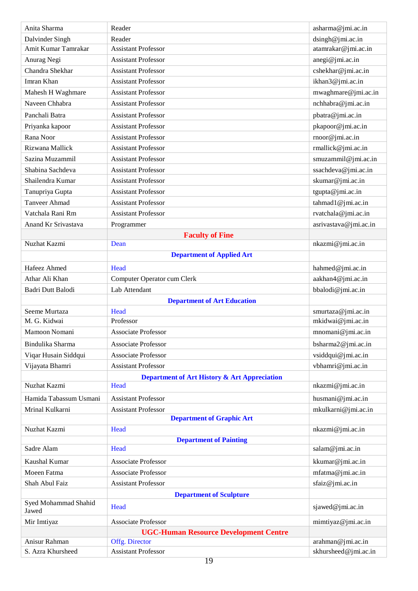| Anita Sharma                  | Reader                                                  | asharma@jmi.ac.in     |
|-------------------------------|---------------------------------------------------------|-----------------------|
| Dalvinder Singh               | Reader                                                  | dsingh@jmi.ac.in      |
| Amit Kumar Tamrakar           | <b>Assistant Professor</b>                              | atamrakar@jmi.ac.in   |
| Anurag Negi                   | <b>Assistant Professor</b>                              | anegi@jmi.ac.in       |
| Chandra Shekhar               | <b>Assistant Professor</b>                              | cshekhar@jmi.ac.in    |
| Imran Khan                    | <b>Assistant Professor</b>                              | ikhan3@jmi.ac.in      |
| Mahesh H Waghmare             | <b>Assistant Professor</b>                              | mwaghmare@jmi.ac.in   |
| Naveen Chhabra                | <b>Assistant Professor</b>                              | nchhabra@jmi.ac.in    |
| Panchali Batra                | <b>Assistant Professor</b>                              | pbatra@jmi.ac.in      |
| Priyanka kapoor               | <b>Assistant Professor</b>                              | pkapoor@jmi.ac.in     |
| Rana Noor                     | <b>Assistant Professor</b>                              | rnoor@jmi.ac.in       |
| Rizwana Mallick               | <b>Assistant Professor</b>                              | rmallick@jmi.ac.in    |
| Sazina Muzammil               | <b>Assistant Professor</b>                              | smuzammil@jmi.ac.in   |
| Shabina Sachdeva              | <b>Assistant Professor</b>                              | ssachdeva@jmi.ac.in   |
| Shailendra Kumar              | <b>Assistant Professor</b>                              | skumar@jmi.ac.in      |
| Tanupriya Gupta               | <b>Assistant Professor</b>                              | tgupta@jmi.ac.in      |
| <b>Tanveer Ahmad</b>          | <b>Assistant Professor</b>                              | tahmad1@jmi.ac.in     |
| Vatchala Rani Rm              | <b>Assistant Professor</b>                              | rvatchala@jmi.ac.in   |
| Anand Kr Srivastava           | Programmer                                              | asrivastava@jmi.ac.in |
|                               | <b>Faculty of Fine</b>                                  |                       |
| Nuzhat Kazmi                  | Dean                                                    | nkazmi@jmi.ac.in      |
|                               | <b>Department of Applied Art</b>                        |                       |
| Hafeez Ahmed                  | Head                                                    | hahmed@jmi.ac.in      |
| Athar Ali Khan                | Computer Operator cum Clerk                             | aakhan4@jmi.ac.in     |
| Badri Dutt Balodi             | Lab Attendant                                           | bbalodi@jmi.ac.in     |
|                               | <b>Department of Art Education</b>                      |                       |
| Seeme Murtaza                 | Head                                                    | smurtaza@jmi.ac.in    |
| M. G. Kidwai                  | Professor                                               | mkidwai@jmi.ac.in     |
| Mamoon Nomani                 | <b>Associate Professor</b>                              | mnomani@jmi.ac.in     |
| Bindulika Sharma              | <b>Associate Professor</b>                              | bsharma2@jmi.ac.in    |
| Viqar Husain Siddqui          | <b>Associate Professor</b>                              | vsiddqui@jmi.ac.in    |
| Vijayata Bhamri               | <b>Assistant Professor</b>                              | vbhamri@jmi.ac.in     |
|                               | <b>Department of Art History &amp; Art Appreciation</b> |                       |
| Nuzhat Kazmi                  | Head                                                    | nkazmi@jmi.ac.in      |
| Hamida Tabassum Usmani        | <b>Assistant Professor</b>                              | husmani@jmi.ac.in     |
| Mrinal Kulkarni               | <b>Assistant Professor</b>                              | mkulkarni@jmi.ac.in   |
|                               | <b>Department of Graphic Art</b>                        |                       |
| Nuzhat Kazmi                  | Head                                                    | nkazmi@jmi.ac.in      |
|                               | <b>Department of Painting</b>                           |                       |
| Sadre Alam                    | Head                                                    | salam@jmi.ac.in       |
| Kaushal Kumar                 | <b>Associate Professor</b>                              | kkumar@jmi.ac.in      |
| Moeen Fatma                   | <b>Associate Professor</b>                              | mfatma@jmi.ac.in      |
| Shah Abul Faiz                | <b>Assistant Professor</b>                              | sfaiz@jmi.ac.in       |
|                               | <b>Department of Sculpture</b>                          |                       |
| Syed Mohammad Shahid<br>Jawed | Head                                                    | sjawed@jmi.ac.in      |
| Mir Imtiyaz                   | <b>Associate Professor</b>                              | mimtiyaz@jmi.ac.in    |
|                               | <b>UGC-Human Resource Development Centre</b>            |                       |
| Anisur Rahman                 | Offg. Director                                          | arahman@jmi.ac.in     |
| S. Azra Khursheed             | <b>Assistant Professor</b>                              | skhursheed@jmi.ac.in  |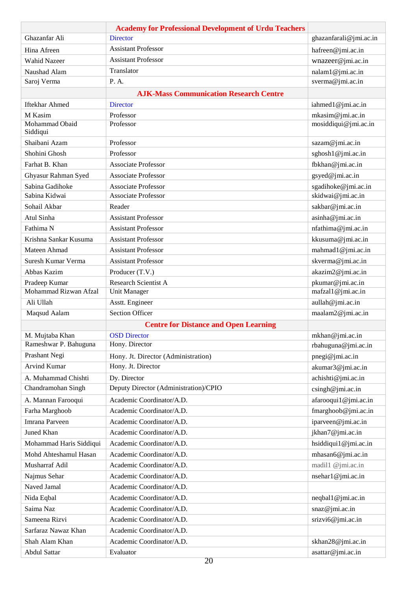|                            | <b>Academy for Professional Development of Urdu Teachers</b> |                        |
|----------------------------|--------------------------------------------------------------|------------------------|
| Ghazanfar Ali              | <b>Director</b>                                              | ghazanfarali@jmi.ac.in |
| Hina Afreen                | <b>Assistant Professor</b>                                   | hafreen@jmi.ac.in      |
| <b>Wahid Nazeer</b>        | <b>Assistant Professor</b>                                   | wnazeer@jmi.ac.in      |
| Naushad Alam               | Translator                                                   | nalam1@jmi.ac.in       |
| Saroj Verma                | P. A.                                                        | sverma@jmi.ac.in       |
|                            | <b>AJK-Mass Communication Research Centre</b>                |                        |
| <b>Iftekhar Ahmed</b>      | <b>Director</b>                                              | iahmed1@jmi.ac.in      |
| M Kasim                    | Professor                                                    | mkasim@jmi.ac.in       |
| Mohammad Obaid<br>Siddiqui | Professor                                                    | mosiddiqui@jmi.ac.in   |
| Shaibani Azam              | Professor                                                    | sazam@jmi.ac.in        |
| Shohini Ghosh              | Professor                                                    | sghosh1@jmi.ac.in      |
| Farhat B. Khan             | <b>Associate Professor</b>                                   | fbkhan@jmi.ac.in       |
| Ghyasur Rahman Syed        | <b>Associate Professor</b>                                   | gsyed@jmi.ac.in        |
| Sabina Gadihoke            | <b>Associate Professor</b>                                   | sgadihoke@jmi.ac.in    |
| Sabina Kidwai              | <b>Associate Professor</b>                                   | skidwai@jmi.ac.in      |
| Sohail Akbar               | Reader                                                       | sakbar@jmi.ac.in       |
| Atul Sinha                 | <b>Assistant Professor</b>                                   | asinha@jmi.ac.in       |
| Fathima N                  | <b>Assistant Professor</b>                                   | nfathima@jmi.ac.in     |
| Krishna Sankar Kusuma      | <b>Assistant Professor</b>                                   | kkusuma@jmi.ac.in      |
| Mateen Ahmad               | <b>Assistant Professor</b>                                   | mahmad1@jmi.ac.in      |
| Suresh Kumar Verma         | <b>Assistant Professor</b>                                   | skverma@jmi.ac.in      |
| Abbas Kazim                | Producer (T.V.)                                              | akazim2@jmi.ac.in      |
| Pradeep Kumar              | Research Scientist A                                         | pkumar@jmi.ac.in       |
| Mohammad Rizwan Afzal      | Unit Manager                                                 | mafzal1@jmi.ac.in      |
| Ali Ullah                  | Asstt. Engineer                                              | aullah@jmi.ac.in       |
| Maqsud Aalam               | <b>Section Officer</b>                                       | maalam2@jmi.ac.in      |
|                            | <b>Centre for Distance and Open Learning</b>                 |                        |
| M. Mujtaba Khan            | <b>OSD Director</b>                                          | mkhan@jmi.ac.in        |
| Rameshwar P. Bahuguna      | Hony. Director                                               | rbahuguna@jmi.ac.in    |
| Prashant Negi              | Hony. Jt. Director (Administration)                          | pnegi@jmi.ac.in        |
| Arvind Kumar               | Hony. Jt. Director                                           | akumar3@jmi.ac.in      |
| A. Muhammad Chishti        | Dy. Director                                                 | achishti@jmi.ac.in     |
| Chandramohan Singh         | Deputy Director (Administration)/CPIO                        | csingh@jmi.ac.in       |
| A. Mannan Farooqui         | Academic Coordinator/A.D.                                    | afarooqui1@jmi.ac.in   |
| Farha Marghoob             | Academic Coordinator/A.D.                                    | fmarghoob@jmi.ac.in    |
| Imrana Parveen             | Academic Coordinator/A.D.                                    | iparveen@jmi.ac.in     |
| Juned Khan                 | Academic Coordinator/A.D.                                    | jkhan7@jmi.ac.in       |
| Mohammad Haris Siddiqui    | Academic Coordinator/A.D.                                    | hsiddiqui1@jmi.ac.in   |
| Mohd Ahteshamul Hasan      | Academic Coordinator/A.D.                                    | mhasan6@jmi.ac.in      |
| Musharraf Adil             | Academic Coordinator/A.D.                                    | madil1 @jmi.ac.in      |
| Najmus Sehar               | Academic Coordinator/A.D.                                    | nseharl@jmi.ac.in      |
| Naved Jamal                | Academic Coordinator/A.D.                                    |                        |
|                            | Academic Coordinator/A.D.                                    |                        |
| Nida Eqbal<br>Saima Naz    | Academic Coordinator/A.D.                                    | neqbal1@jmi.ac.in      |
|                            |                                                              | snaz@jmi.ac.in         |
| Sameena Rizvi              | Academic Coordinator/A.D.                                    | srizvi6@jmi.ac.in      |
| Sarfaraz Nawaz Khan        | Academic Coordinator/A.D.                                    |                        |
| Shah Alam Khan             | Academic Coordinator/A.D.                                    | skhan28@jmi.ac.in      |
| Abdul Sattar               | Evaluator                                                    | asattar@jmi.ac.in      |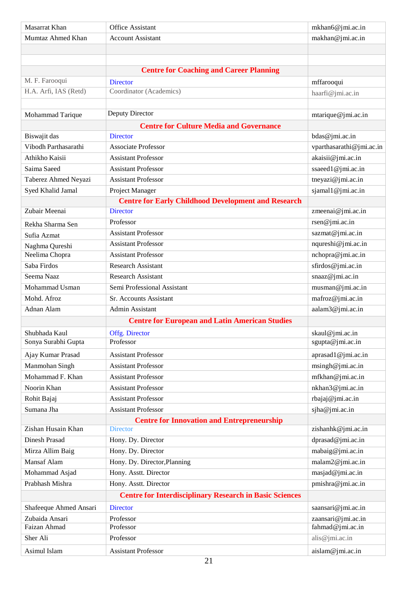| Masarrat Khan          | Office Assistant                                               | mkhan6@jmi.ac.in         |
|------------------------|----------------------------------------------------------------|--------------------------|
| Mumtaz Ahmed Khan      | <b>Account Assistant</b>                                       | makhan@jmi.ac.in         |
|                        |                                                                |                          |
|                        |                                                                |                          |
|                        | <b>Centre for Coaching and Career Planning</b>                 |                          |
| M. F. Farooqui         | <b>Director</b>                                                | mffarooqui               |
| H.A. Arfi, IAS (Retd)  | Coordinator (Academics)                                        | haarfi@jmi.ac.in         |
|                        |                                                                |                          |
| Mohammad Tarique       | Deputy Director                                                | mtarique@jmi.ac.in       |
|                        | <b>Centre for Culture Media and Governance</b>                 |                          |
| Biswajit das           | <b>Director</b>                                                | bdas@jmi.ac.in           |
| Vibodh Parthasarathi   | <b>Associate Professor</b>                                     | vparthasarathi@jmi.ac.in |
| Athikho Kaisii         | <b>Assistant Professor</b>                                     | akaisii@jmi.ac.in        |
| Saima Saeed            | <b>Assistant Professor</b>                                     | ssaeed1@jmi.ac.in        |
| Taberez Ahmed Neyazi   | <b>Assistant Professor</b>                                     | tneyazi@jmi.ac.in        |
| Syed Khalid Jamal      | Project Manager                                                | sjamal1@jmi.ac.in        |
|                        | <b>Centre for Early Childhood Development and Research</b>     |                          |
| Zubair Meenai          | <b>Director</b>                                                | zmeenai@jmi.ac.in        |
| Rekha Sharma Sen       | Professor                                                      | rsen@jmi.ac.in           |
| Sufia Azmat            | <b>Assistant Professor</b>                                     | sazmat@jmi.ac.in         |
| Naghma Qureshi         | <b>Assistant Professor</b>                                     | nqureshi@jmi.ac.in       |
| Neelima Chopra         | <b>Assistant Professor</b>                                     | nchopra@jmi.ac.in        |
| Saba Firdos            | <b>Research Assistant</b>                                      | sfirdos@jmi.ac.in        |
| Seema Naaz             | <b>Research Assistant</b>                                      | snaaz@jmi.ac.in          |
| Mohammad Usman         | Semi Professional Assistant                                    | musman@jmi.ac.in         |
| Mohd. Afroz            | Sr. Accounts Assistant                                         | mafroz@jmi.ac.in         |
| Adnan Alam             | Admin Assistant                                                | aalam3@jmi.ac.in         |
|                        | <b>Centre for European and Latin American Studies</b>          |                          |
| Shubhada Kaul          | Offg. Director                                                 | skaul@jmi.ac.in          |
| Sonya Surabhi Gupta    | Professor                                                      | sgupta@jmi.ac.in         |
| Ajay Kumar Prasad      | <b>Assistant Professor</b>                                     | aprasad1@jmi.ac.in       |
| Manmohan Singh         | <b>Assistant Professor</b>                                     | msingh@jmi.ac.in         |
| Mohammad F. Khan       | <b>Assistant Professor</b>                                     | mfkhan@jmi.ac.in         |
| Noorin Khan            | <b>Assistant Professor</b>                                     | nkhan3@jmi.ac.in         |
| Rohit Bajaj            | <b>Assistant Professor</b>                                     | rbajaj@jmi.ac.in         |
| Sumana Jha             | <b>Assistant Professor</b>                                     | sjha@jmi.ac.in           |
|                        | <b>Centre for Innovation and Entrepreneurship</b>              |                          |
| Zishan Husain Khan     | <b>Director</b>                                                | zishanhk@jmi.ac.in       |
| <b>Dinesh Prasad</b>   | Hony. Dy. Director                                             | dprasad@jmi.ac.in        |
| Mirza Allim Baig       | Hony. Dy. Director                                             | mabaig@jmi.ac.in         |
| <b>Mansaf Alam</b>     | Hony. Dy. Director, Planning                                   | malam2@jmi.ac.in         |
| Mohammad Asjad         | Hony. Asstt. Director                                          | masjad@jmi.ac.in         |
| Prabhash Mishra        | Hony. Asstt. Director                                          | pmishra@jmi.ac.in        |
|                        | <b>Centre for Interdisciplinary Research in Basic Sciences</b> |                          |
| Shafeeque Ahmed Ansari | <b>Director</b>                                                | saansari@jmi.ac.in       |
| Zubaida Ansari         | Professor                                                      | zaansari@jmi.ac.in       |
| Faizan Ahmad           | Professor                                                      | fahmad@jmi.ac.in         |
| Sher Ali               | Professor                                                      | alis@jmi.ac.in           |
| Asimul Islam           | <b>Assistant Professor</b>                                     | aislam@jmi.ac.in         |
|                        |                                                                |                          |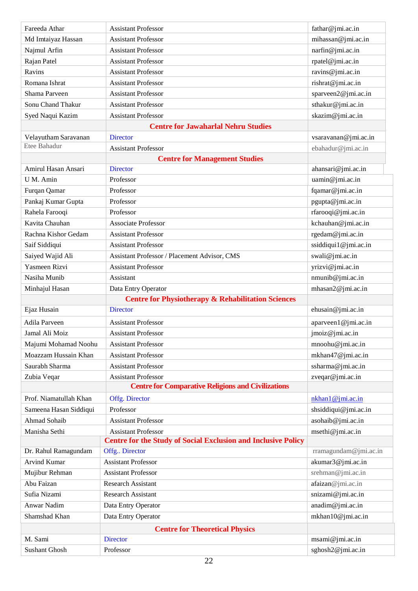| Fareeda Athar                         | <b>Assistant Professor</b>                                           | fathar@jmi.ac.in      |
|---------------------------------------|----------------------------------------------------------------------|-----------------------|
| Md Imtaiyaz Hassan                    | <b>Assistant Professor</b>                                           | mihassan@jmi.ac.in    |
| Najmul Arfin                          | <b>Assistant Professor</b>                                           | narfin@jmi.ac.in      |
| Rajan Patel                           | <b>Assistant Professor</b>                                           | rpatel@jmi.ac.in      |
| Ravins                                | <b>Assistant Professor</b>                                           | ravins@jmi.ac.in      |
| Romana Ishrat                         | <b>Assistant Professor</b>                                           | rishrat@jmi.ac.in     |
| Shama Parveen                         | <b>Assistant Professor</b>                                           | sparveen2@jmi.ac.in   |
| <b>Sonu Chand Thakur</b>              | <b>Assistant Professor</b>                                           | sthakur@jmi.ac.in     |
| Syed Naqui Kazim                      | <b>Assistant Professor</b>                                           | skazim@jmi.ac.in      |
|                                       | <b>Centre for Jawaharlal Nehru Studies</b>                           |                       |
| Velayutham Saravanan                  | <b>Director</b>                                                      | vsaravanan@jmi.ac.in  |
| Etee Bahadur                          | <b>Assistant Professor</b>                                           | ebahadur@jmi.ac.in    |
|                                       | <b>Centre for Management Studies</b>                                 |                       |
| Amirul Hasan Ansari                   | <b>Director</b>                                                      | ahansari@jmi.ac.in    |
| U M. Amin                             | Professor                                                            | uamin@jmi.ac.in       |
| Furqan Qamar                          | Professor                                                            | fqamar@jmi.ac.in      |
| Pankaj Kumar Gupta                    | Professor                                                            | pgupta@jmi.ac.in      |
| Rahela Farooqi                        | Professor                                                            | rfarooqi@jmi.ac.in    |
| Kavita Chauhan                        | <b>Associate Professor</b>                                           | kchauhan@jmi.ac.in    |
| Rachna Kishor Gedam                   | <b>Assistant Professor</b>                                           | rgedam@jmi.ac.in      |
| Saif Siddiqui                         | <b>Assistant Professor</b>                                           | ssiddiqui1@jmi.ac.in  |
| Saiyed Wajid Ali                      | Assistant Professor / Placement Advisor, CMS                         | swali@jmi.ac.in       |
| Yasmeen Rizvi                         | <b>Assistant Professor</b>                                           | yrizvi@jmi.ac.in      |
| Nasiha Munib                          | Assistant                                                            | nmunib@jmi.ac.in      |
| Minhajul Hasan                        | Data Entry Operator                                                  | mhasan2@jmi.ac.in     |
|                                       | <b>Centre for Physiotherapy &amp; Rehabilitation Sciences</b>        |                       |
| Ejaz Husain                           | <b>Director</b>                                                      | ehusain@jmi.ac.in     |
| Adila Parveen                         | <b>Assistant Professor</b>                                           | aparveen1@jmi.ac.in   |
| Jamal Ali Moiz                        | <b>Assistant Professor</b>                                           | jmoiz@jmi.ac.in       |
| Majumi Mohamad Noohu                  | <b>Assistant Professor</b>                                           | mnoohu@jmi.ac.in      |
| Moazzam Hussain Khan                  | <b>Assistant Professor</b>                                           | mkhan47@jmi.ac.in     |
| Saurabh Sharma                        | <b>Assistant Professor</b>                                           | ssharma@jmi.ac.in     |
| Zubia Veqar                           | <b>Assistant Professor</b>                                           | zveqar@jmi.ac.in      |
|                                       | <b>Centre for Comparative Religions and Civilizations</b>            |                       |
| Prof. Niamatullah Khan                | Offg. Director                                                       | nkhan1@jmi.ac.in      |
| Sameena Hasan Siddiqui                | Professor                                                            | shsiddiqui@jmi.ac.in  |
| <b>Ahmad Sohaib</b>                   | <b>Assistant Professor</b>                                           | asohaib@jmi.ac.in     |
| Manisha Sethi                         | <b>Assistant Professor</b>                                           | msethi@jmi.ac.in      |
|                                       | <b>Centre for the Study of Social Exclusion and Inclusive Policy</b> |                       |
| Dr. Rahul Ramagundam                  | Offg Director                                                        | rramagundam@jmi.ac.in |
| <b>Arvind Kumar</b>                   | <b>Assistant Professor</b>                                           | akumar3@jmi.ac.in     |
| Mujibur Rehman                        | <b>Assistant Professor</b>                                           | srehman@jmi.ac.in     |
| Abu Faizan                            | <b>Research Assistant</b>                                            | afaizan@jmi.ac.in     |
| Sufia Nizami                          | <b>Research Assistant</b>                                            | snizami@jmi.ac.in     |
| Anwar Nadim                           | Data Entry Operator                                                  | anadim@jmi.ac.in      |
| Shamshad Khan                         | Data Entry Operator                                                  | mkhan10@jmi.ac.in     |
| <b>Centre for Theoretical Physics</b> |                                                                      |                       |
| M. Sami                               | <b>Director</b>                                                      | msami@jmi.ac.in       |
| <b>Sushant Ghosh</b>                  | Professor                                                            | sghosh2@jmi.ac.in     |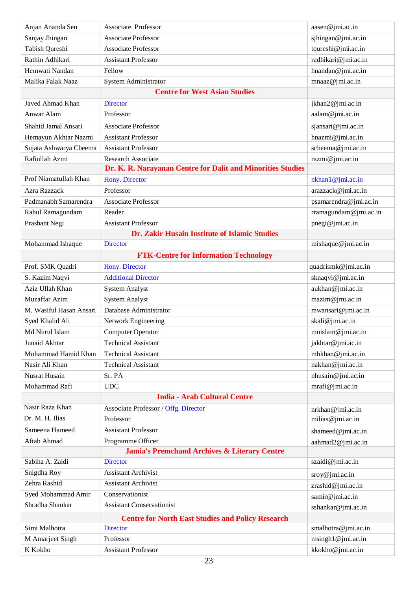| Anjan Ananda Sen        | Associate Professor                                         | aasen@jmi.ac.in       |
|-------------------------|-------------------------------------------------------------|-----------------------|
| Sanjay Jhingan          | <b>Associate Professor</b>                                  | sjhingan@jmi.ac.in    |
| Tabish Qureshi          | <b>Associate Professor</b>                                  | tqureshi@jmi.ac.in    |
| Rathin Adhikari         | <b>Assistant Professor</b>                                  | radhikari@jmi.ac.in   |
| Hemwati Nandan          | Fellow                                                      | hnandan@jmi.ac.in     |
| Malika Falak Naaz       | System Administrator                                        | mnaaz@jmi.ac.in       |
|                         | <b>Centre for West Asian Studies</b>                        |                       |
| Javed Ahmad Khan        | <b>Director</b>                                             | jkhan2@jmi.ac.in      |
| Anwar Alam              | Professor                                                   | aalam@jmi.ac.in       |
| Shahid Jamal Ansari     | <b>Associate Professor</b>                                  | sjansari@jmi.ac.in    |
| Hemayun Akhtar Nazmi    | <b>Assistant Professor</b>                                  | hnazmi@jmi.ac.in      |
| Sujata Ashwarya Cheema  | <b>Assistant Professor</b>                                  | scheema@jmi.ac.in     |
| Rafiullah Azmi          | <b>Research Associate</b>                                   | razmi@jmi.ac.in       |
|                         | Dr. K. R. Narayanan Centre for Dalit and Minorities Studies |                       |
| Prof Niamatullah Khan   | <b>Hony.</b> Director                                       | nkhan1@jmi.ac.in      |
| Azra Razzack            | Professor                                                   | arazzack@jmi.ac.in    |
| Padmanabh Samarendra    | <b>Associate Professor</b>                                  | psamarendra@jmi.ac.in |
| Rahul Ramagundam        | Reader                                                      | rramagundam@jmi.ac.in |
| Prashant Negi           | <b>Assistant Professor</b>                                  | pnegi@jmi.ac.in       |
|                         | Dr. Zakir Husain Institute of Islamic Studies               |                       |
| Mohammad Ishaque        | <b>Director</b>                                             | mishaque@jmi.ac.in    |
|                         | <b>FTK-Centre for Information Technology</b>                |                       |
| Prof. SMK Quadri        | Hony. Director                                              | quadrismk@jmi.ac.in   |
| S. Kazim Naqvi          | <b>Additional Director</b>                                  | sknaqvi@jmi.ac.in     |
| Aziz Ullah Khan         | <b>System Analyst</b>                                       | aukhan@jmi.ac.in      |
| Muzaffar Azim           | <b>System Analyst</b>                                       | mazim@jmi.ac.in       |
| M. Wasiful Hasan Ansari | Database Administrator                                      | mwansari@jmi.ac.in    |
| Syed Khalid Ali         | Network Engineering                                         | skali@jmi.ac.in       |
| Md Nurul Islam          | <b>Computer Operator</b>                                    | mnislam@jmi.ac.in     |
| Junaid Akhtar           | <b>Technical Assistant</b>                                  | jakhtar@jmi.ac.in     |
| Mohammad Hamid Khan     | <b>Technical Assistant</b>                                  | mhkhan@jmi.ac.in      |
| Nasir Ali Khan          | <b>Technical Assistant</b>                                  | nakhan@jmi.ac.in      |
| <b>Nusrat Husain</b>    | Sr. PA                                                      | nhusain@jmi.ac.in     |
| Mohammad Rafi           | <b>UDC</b>                                                  | mrafi@jmi.ac.in       |
|                         | <b>India - Arab Cultural Centre</b>                         |                       |
| Nasir Raza Khan         | <b>Associate Professor / Offg. Director</b>                 | nrkhan@jmi.ac.in      |
| Dr. M. H. Ilias         | Professor                                                   | milias@jmi.ac.in      |
| Sameena Hameed          | <b>Assistant Professor</b>                                  | shameed@jmi.ac.in     |
| Aftab Ahmad             | Programme Officer                                           | aahmad2@jmi.ac.in     |
|                         | <b>Jamia's Premchand Archives &amp; Literary Centre</b>     |                       |
| Sabiha A. Zaidi         | <b>Director</b>                                             | szaidi@jmi.ac.in      |
| Snigdha Roy             | <b>Assistant Archivist</b>                                  | sroy@jmi.ac.in        |
| Zehra Rashid            | <b>Assistant Archivist</b>                                  | zrashid@jmi.ac.in     |
| Syed Mohammad Amir      | Conservationist                                             | samir@jmi.ac.in       |
| Shradha Shankar         | <b>Assistant Conservationist</b>                            | sshankar@jmi.ac.in    |
|                         | <b>Centre for North East Studies and Policy Research</b>    |                       |
| Simi Malhotra           | <b>Director</b>                                             | smalhotra@jmi.ac.in   |
| M Amarjeet Singh        | Professor                                                   | msingh1@jmi.ac.in     |
| K Kokho                 | <b>Assistant Professor</b>                                  | kkokho@jmi.ac.in      |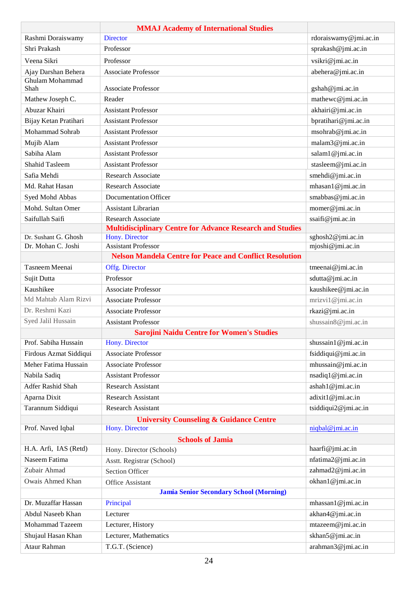|                          | <b>MMAJ Academy of International Studies</b>                     |                       |
|--------------------------|------------------------------------------------------------------|-----------------------|
| Rashmi Doraiswamy        | <b>Director</b>                                                  | rdoraiswamy@jmi.ac.in |
| Shri Prakash             | Professor                                                        | sprakash@jmi.ac.in    |
| Veena Sikri              | Professor                                                        | vsikri@jmi.ac.in      |
| Ajay Darshan Behera      | <b>Associate Professor</b>                                       | abehera@jmi.ac.in     |
| Ghulam Mohammad<br>Shah  | <b>Associate Professor</b>                                       | gshah@jmi.ac.in       |
| Mathew Joseph C.         | Reader                                                           | mathewc@jmi.ac.in     |
| Abuzar Khairi            | <b>Assistant Professor</b>                                       | akhairi@jmi.ac.in     |
| Bijay Ketan Pratihari    | <b>Assistant Professor</b>                                       | bpratihari@jmi.ac.in  |
| Mohammad Sohrab          | <b>Assistant Professor</b>                                       | msohrab@jmi.ac.in     |
| Mujib Alam               | <b>Assistant Professor</b>                                       | malam3@jmi.ac.in      |
| Sabiha Alam              | <b>Assistant Professor</b>                                       | salam1@jmi.ac.in      |
| <b>Shahid Tasleem</b>    | <b>Assistant Professor</b>                                       | stasleem@jmi.ac.in    |
| Safia Mehdi              | Research Associate                                               | smehdi@jmi.ac.in      |
| Md. Rahat Hasan          | Research Associate                                               | mhasan1@jmi.ac.in     |
| Syed Mohd Abbas          | <b>Documentation Officer</b>                                     | smabbas@jmi.ac.in     |
| Mohd. Sultan Omer        | <b>Assistant Librarian</b>                                       | momer@jmi.ac.in       |
| Saifullah Saifi          | <b>Research Associate</b>                                        | ssaifi@jmi.ac.in      |
|                          | <b>Multidisciplinary Centre for Advance Research and Studies</b> |                       |
| Dr. Sushant G. Ghosh     | Hony. Director                                                   | sghosh2@jmi.ac.in     |
| Dr. Mohan C. Joshi       | <b>Assistant Professor</b>                                       | mjoshi@jmi.ac.in      |
|                          | <b>Nelson Mandela Centre for Peace and Conflict Resolution</b>   |                       |
| Tasneem Meenai           | Offg. Director                                                   | tmeenai@jmi.ac.in     |
| Sujit Dutta              | Professor                                                        | sdutta@jmi.ac.in      |
| Kaushikee                | <b>Associate Professor</b>                                       | kaushikee@jmi.ac.in   |
| Md Mahtab Alam Rizvi     | <b>Associate Professor</b>                                       | mrizvi1@jmi.ac.in     |
| Dr. Reshmi Kazi          | <b>Associate Professor</b>                                       | rkazi@jmi.ac.in       |
| Syed Jalil Hussain       | <b>Assistant Professor</b>                                       | shussain8@jmi.ac.in   |
|                          | <b>Sarojini Naidu Centre for Women's Studies</b>                 |                       |
| Prof. Sabiha Hussain     | Hony. Director                                                   | shussain1@jmi.ac.in   |
| Firdous Azmat Siddiqui   | <b>Associate Professor</b>                                       | fsiddiqui@jmi.ac.in   |
| Meher Fatima Hussain     | Associate Professor                                              | mhussain@jmi.ac.in    |
| Nabila Sadiq             | <b>Assistant Professor</b>                                       | nsadiq1@jmi.ac.in     |
| <b>Adfer Rashid Shah</b> | <b>Research Assistant</b>                                        | ashah1@jmi.ac.in      |
| Aparna Dixit             | <b>Research Assistant</b>                                        | adixit1@jmi.ac.in     |
| Tarannum Siddiqui        | <b>Research Assistant</b>                                        | tsiddiqui2@jmi.ac.in  |
|                          | <b>University Counseling &amp; Guidance Centre</b>               |                       |
| Prof. Naved Iqbal        | Hony. Director                                                   | niqbal@jmi.ac.in      |
|                          | <b>Schools of Jamia</b>                                          |                       |
| H.A. Arfi, IAS (Retd)    | Hony. Director (Schools)                                         | haarfi@jmi.ac.in      |
| Naseem Fatima            | Asstt. Registrar (School)                                        | nfatima2@jmi.ac.in    |
| Zubair Ahmad             | <b>Section Officer</b>                                           | zahmad2@jmi.ac.in     |
| Owais Ahmed Khan         | Office Assistant                                                 | okhan1@jmi.ac.in      |
|                          | <b>Jamia Senior Secondary School (Morning)</b>                   |                       |
| Dr. Muzaffar Hassan      | Principal                                                        | mhassan1@jmi.ac.in    |
| Abdul Naseeb Khan        | Lecturer                                                         | akhan4@jmi.ac.in      |
| Mohammad Tazeem          | Lecturer, History                                                | mtazeem@jmi.ac.in     |
| Shujaul Hasan Khan       | Lecturer, Mathematics                                            | skhan5@jmi.ac.in      |
| Ataur Rahman             | T.G.T. (Science)                                                 | arahman3@jmi.ac.in    |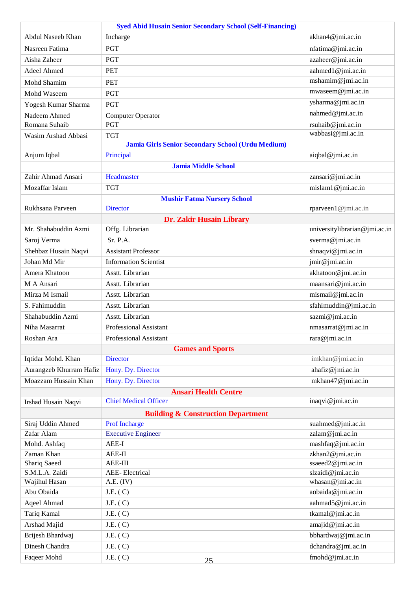|                         | <b>Syed Abid Husain Senior Secondary School (Self-Financing)</b> |                               |
|-------------------------|------------------------------------------------------------------|-------------------------------|
| Abdul Naseeb Khan       | Incharge                                                         | akhan4@jmi.ac.in              |
| Nasreen Fatima          | <b>PGT</b>                                                       | nfatima@jmi.ac.in             |
| Aisha Zaheer            | <b>PGT</b>                                                       | azaheer@jmi.ac.in             |
| Adeel Ahmed             | <b>PET</b>                                                       | aahmed1@jmi.ac.in             |
| Mohd Shamim             | <b>PET</b>                                                       | mshamim@jmi.ac.in             |
| Mohd Waseem             | <b>PGT</b>                                                       | mwaseem@jmi.ac.in             |
| Yogesh Kumar Sharma     | <b>PGT</b>                                                       | ysharma@jmi.ac.in             |
| Nadeem Ahmed            | Computer Operator                                                | nahmed@jmi.ac.in              |
| Romana Suhaib           | <b>PGT</b>                                                       | rsuhaib@jmi.ac.in             |
| Wasim Arshad Abbasi     | <b>TGT</b>                                                       | wabbasi@jmi.ac.in             |
|                         | Jamia Girls Senior Secondary School (Urdu Medium)                |                               |
| Anjum Iqbal             | Principal                                                        | aiqbal@jmi.ac.in              |
|                         | <b>Jamia Middle School</b>                                       |                               |
| Zahir Ahmad Ansari      | Headmaster                                                       | zansari@jmi.ac.in             |
| Mozaffar Islam          | <b>TGT</b>                                                       | mislam1@jmi.ac.in             |
|                         | <b>Mushir Fatma Nursery School</b>                               |                               |
| Rukhsana Parveen        | <b>Director</b>                                                  | rparveen1@jmi.ac.in           |
|                         | <b>Dr. Zakir Husain Library</b>                                  |                               |
| Mr. Shahabuddin Azmi    | Offg. Librarian                                                  | universitylibrarian@jmi.ac.in |
| Saroj Verma             | Sr. P.A.                                                         | sverma@jmi.ac.in              |
| Shehbaz Husain Naqvi    | <b>Assistant Professor</b>                                       | shnaqvi@jmi.ac.in             |
| Johan Md Mir            | <b>Information Scientist</b>                                     | jmir@jmi.ac.in                |
| Amera Khatoon           | Asstt. Librarian                                                 | akhatoon@jmi.ac.in            |
| M A Ansari              | Asstt. Librarian                                                 | maansari@jmi.ac.in            |
| Mirza M Ismail          | Asstt. Librarian                                                 | mismail@jmi.ac.in             |
| S. Fahimuddin           | Asstt. Librarian                                                 | sfahimuddin@jmi.ac.in         |
| Shahabuddin Azmi        | Asstt. Librarian                                                 | sazmi@jmi.ac.in               |
| Niha Masarrat           | <b>Professional Assistant</b>                                    | nmasarrat@jmi.ac.in           |
| Roshan Ara              | <b>Professional Assistant</b>                                    | rara@jmi.ac.in                |
|                         | <b>Games and Sports</b>                                          |                               |
| Iqtidar Mohd. Khan      | <b>Director</b>                                                  | imkhan@jmi.ac.in              |
| Aurangzeb Khurram Hafiz | Hony. Dy. Director                                               | ahafiz@jmi.ac.in              |
| Moazzam Hussain Khan    | Hony. Dy. Director                                               | mkhan47@jmi.ac.in             |
|                         | <b>Ansari Health Centre</b>                                      |                               |
| Irshad Husain Naqvi     | <b>Chief Medical Officer</b>                                     | inaqvi@jmi.ac.in              |
|                         | <b>Building &amp; Construction Department</b>                    |                               |
| Siraj Uddin Ahmed       | <b>Prof Incharge</b>                                             | suahmed@jmi.ac.in             |
| Zafar Alam              | <b>Executive Engineer</b>                                        | zalam@jmi.ac.in               |
| Mohd. Ashfaq            | AEE-I                                                            | mashfaq@jmi.ac.in             |
| Zaman Khan              | $AEE-II$                                                         | zkhan2@jmi.ac.in              |
| Shariq Saeed            | AEE-III                                                          | ssaeed2@jmi.ac.in             |
| S.M.L.A. Zaidi          | <b>AEE-Electrical</b>                                            | slzaidi@jmi.ac.in             |
| Wajihul Hasan           | A.E. (IV)                                                        | whasan@jmi.ac.in              |
| Abu Obaida              | J.E. (C)                                                         | aobaida@jmi.ac.in             |
| Aqeel Ahmad             | J.E. (C)                                                         | aahmad5@jmi.ac.in             |
| Tariq Kamal             | J.E. (C)                                                         | tkamal@jmi.ac.in              |
| Arshad Majid            | J.E. (C)                                                         | amajid@jmi.ac.in              |
| Brijesh Bhardwaj        | J.E. (C)                                                         | bbhardwaj@jmi.ac.in           |
| Dinesh Chandra          | J.E. (C)                                                         | dchandra@jmi.ac.in            |
| Faqeer Mohd             | J.E. (C)<br>25                                                   | fmohd@jmi.ac.in               |
|                         |                                                                  |                               |